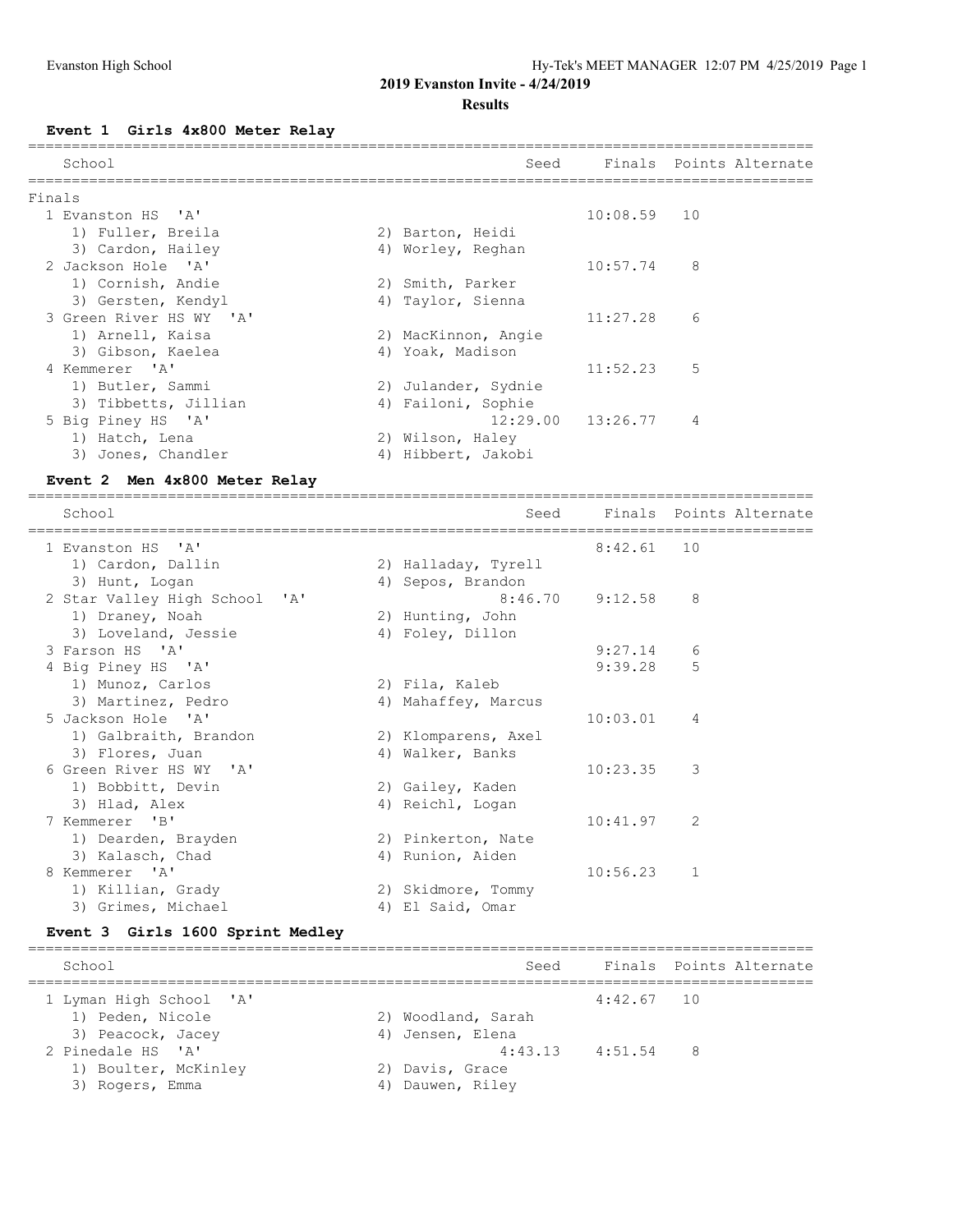# **Event 1 Girls 4x800 Meter Relay**

| School                  |    |                     |                       | Seed Finals Points Alternate |
|-------------------------|----|---------------------|-----------------------|------------------------------|
| Finals                  |    |                     |                       |                              |
| 1 Evanston HS 'A'       |    |                     | $10:08.59$ 10         |                              |
| 1) Fuller, Breila       |    | 2) Barton, Heidi    |                       |                              |
| 3) Cardon, Hailey       |    | 4) Worley, Reghan   |                       |                              |
| 2 Jackson Hole 'A'      |    |                     | 10:57.74              | 8                            |
| 1) Cornish, Andie       |    | 2) Smith, Parker    |                       |                              |
| 3) Gersten, Kendyl      |    | 4) Taylor, Sienna   |                       |                              |
| 3 Green River HS WY 'A' |    |                     | 11:27.28              | 6                            |
| 1) Arnell, Kaisa        |    | 2) MacKinnon, Angie |                       |                              |
| 3) Gibson, Kaelea       |    | 4) Yoak, Madison    |                       |                              |
| 4 Kemmerer 'A'          |    |                     | 11:52.23              | 5                            |
| 1) Butler, Sammi        |    | 2) Julander, Sydnie |                       |                              |
| 3) Tibbetts, Jillian    |    | 4) Failoni, Sophie  |                       |                              |
| 5 Big Piney HS 'A'      |    |                     | $12:29.00$ $13:26.77$ | $\overline{4}$               |
| 1) Hatch, Lena          |    | 2) Wilson, Haley    |                       |                              |
| 3) Jones, Chandler      | 4) | Hibbert, Jakobi     |                       |                              |
|                         |    |                     |                       |                              |

### **Event 2 Men 4x800 Meter Relay**

| School                        | Seed                |              |                | Finals Points Alternate |
|-------------------------------|---------------------|--------------|----------------|-------------------------|
| 1 Evanston HS 'A'             |                     | $8:42.61$ 10 |                |                         |
| 1) Cardon, Dallin             | 2) Halladay, Tyrell |              |                |                         |
| 3) Hunt, Logan                | 4) Sepos, Brandon   |              |                |                         |
| 2 Star Valley High School 'A' | 8:46.70             | 9:12.58      | 8              |                         |
| 1) Draney, Noah               | 2) Hunting, John    |              |                |                         |
| 3) Loveland, Jessie           | 4) Foley, Dillon    |              |                |                         |
| 3 Farson HS 'A'               |                     | 9:27.14      | 6              |                         |
| 4 Big Piney HS 'A'            |                     | 9:39.28      | 5              |                         |
| 1) Munoz, Carlos              | 2) Fila, Kaleb      |              |                |                         |
| 3) Martinez, Pedro            | 4) Mahaffey, Marcus |              |                |                         |
| 5 Jackson Hole 'A'            |                     | 10:03.01     | 4              |                         |
| 1) Galbraith, Brandon         | 2) Klomparens, Axel |              |                |                         |
| 3) Flores, Juan               | 4) Walker, Banks    |              |                |                         |
| 6 Green River HS WY 'A'       |                     | 10:23.35     | 3              |                         |
| 1) Bobbitt, Devin             | 2) Gailey, Kaden    |              |                |                         |
| 3) Hlad, Alex                 | 4) Reichl, Logan    |              |                |                         |
| 7 Kemmerer 'B'                |                     | 10:41.97     | $\mathfrak{D}$ |                         |
| 1) Dearden, Brayden           | 2) Pinkerton, Nate  |              |                |                         |
| 3) Kalasch, Chad              | 4) Runion, Aiden    |              |                |                         |
| 8 Kemmerer 'A'                |                     | 10:56.23     | $\mathbf{1}$   |                         |
| 1) Killian, Grady             | 2) Skidmore, Tommy  |              |                |                         |
| 3) Grimes, Michael            | 4) El Said, Omar    |              |                |                         |

### **Event 3 Girls 1600 Sprint Medley**

| School                  | Seed               |                     | Finals Points Alternate |
|-------------------------|--------------------|---------------------|-------------------------|
| 1 Lyman High School 'A' |                    | $4:42.67$ 10        |                         |
| 1) Peden, Nicole        | 2) Woodland, Sarah |                     |                         |
| 3) Peacock, Jacey       | 4) Jensen, Elena   |                     |                         |
| 2 Pinedale HS 'A'       |                    | $4:43.13$ $4:51.54$ | - 8                     |
| 1) Boulter, McKinley    | 2) Davis, Grace    |                     |                         |
| 3) Rogers, Emma         | 4) Dauwen, Riley   |                     |                         |
|                         |                    |                     |                         |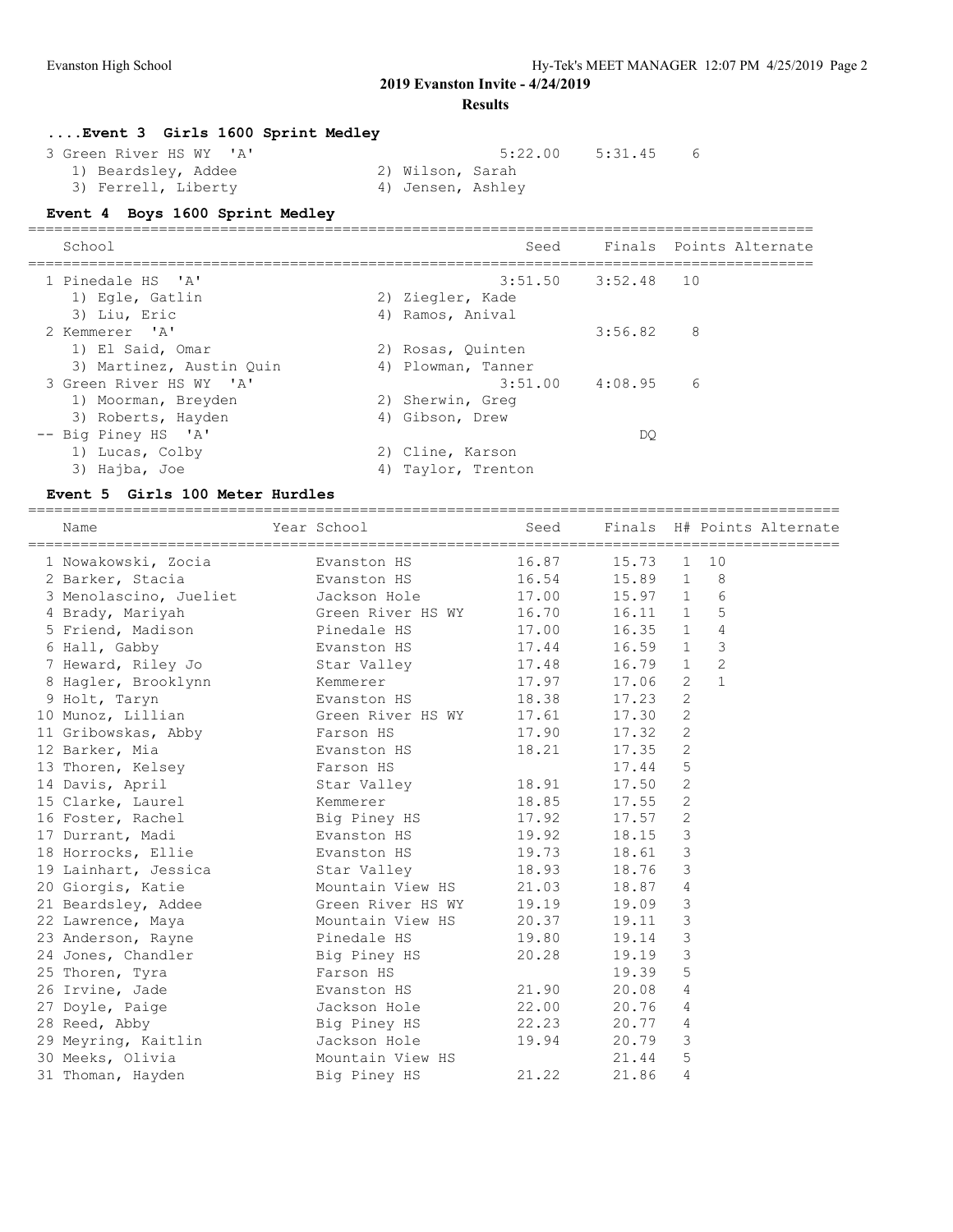**2019 Evanston Invite - 4/24/2019**

**Results**

| Event 3 Girls 1600 Sprint Medley         |         |         |   |
|------------------------------------------|---------|---------|---|
| 3 Green River HS WY 'A'                  | 5:22.00 | 5:31.45 | 6 |
| 2) Wilson, Sarah<br>1) Beardsley, Addee  |         |         |   |
| 3) Ferrell, Liberty<br>4) Jensen, Ashley |         |         |   |

#### **Event 4 Boys 1600 Sprint Medley** ==========================================================================================

| School                   | Seed               |                        | Finals Points Alternate |
|--------------------------|--------------------|------------------------|-------------------------|
| 1 Pinedale HS 'A'        |                    | $3:51.50$ $3:52.48$ 10 |                         |
| 1) Eqle, Gatlin          | 2) Ziegler, Kade   |                        |                         |
| 3) Liu, Eric             | 4) Ramos, Anival   |                        |                         |
| 2 Kemmerer 'A'           |                    | 3:56.82                | 8                       |
| 1) El Said, Omar         | 2) Rosas, Quinten  |                        |                         |
| 3) Martinez, Austin Quin | 4) Plowman, Tanner |                        |                         |
| 3 Green River HS WY 'A'  |                    | $3:51.00$ $4:08.95$    | 6                       |
| 1) Moorman, Breyden      | 2) Sherwin, Greg   |                        |                         |
| 3) Roberts, Hayden       | 4) Gibson, Drew    |                        |                         |
| -- Big Piney HS 'A'      |                    | DO.                    |                         |
| 1) Lucas, Colby          | 2) Cline, Karson   |                        |                         |
| 3) Hajba, Joe            | 4) Taylor, Trenton |                        |                         |

#### **Event 5 Girls 100 Meter Hurdles**

| Name                                      | Year School             | Seed  |           |                |                | Finals H# Points Alternate |
|-------------------------------------------|-------------------------|-------|-----------|----------------|----------------|----------------------------|
| 1 Nowakowski, Zocia                       | Evanston HS             | 16.87 | 15.73     | $\mathbf{1}$   | 10             |                            |
| 2 Barker, Stacia                          | Evanston HS             | 16.54 | $15.89$ 1 |                | 8              |                            |
| 3 Menolascino, Jueliet Jackson Hole 17.00 |                         |       | $15.97$ 1 |                | 6              |                            |
| 4 Brady, Mariyah                          | Green River HS WY 16.70 |       | $16.11$ 1 |                | 5              |                            |
| 5 Friend, Madison binedale HS             |                         | 17.00 | $16.35$ 1 |                | $\sqrt{4}$     |                            |
| 6 Hall, Gabby                             | Evanston HS             | 17.44 | $16.59$ 1 |                | $\mathcal{S}$  |                            |
| 7 Heward, Riley Jo                        | Star Valley             | 17.48 | $16.79$ 1 |                | $\overline{c}$ |                            |
| 8 Hagler, Brooklynn Kemmerer              |                         | 17.97 | 17.06     | $\mathbf{2}$   | $\mathbf{1}$   |                            |
| 9 Holt, Taryn                             | Evanston HS 18.38       |       | 17.23     | $\overline{2}$ |                |                            |
| 10 Munoz, Lillian                         | Green River HS WY       | 17.61 | 17.30 2   |                |                |                            |
| 11 Gribowskas, Abby                       | Farson HS               | 17.90 | 17.32     | $\overline{2}$ |                |                            |
| 12 Barker, Mia                            | Evanston HS             | 18.21 | $17.35$ 2 |                |                |                            |
| 13 Thoren, Kelsey                         | Farson HS               |       | 17.44     | 5              |                |                            |
| 14 Davis, April                           | Star Valley             | 18.91 | 17.50     | 2              |                |                            |
| 15 Clarke, Laurel                         | Kemmerer                | 18.85 | 17.55     | 2              |                |                            |
| 16 Foster, Rachel                         | Big Piney HS            | 17.92 | 17.57     | 2              |                |                            |
| 17 Durrant, Madi                          | Evanston HS             | 19.92 | 18.15     | $\mathcal{E}$  |                |                            |
| 18 Horrocks, Ellie Kvanston HS            |                         | 19.73 | 18.61     | $\mathbf{3}$   |                |                            |
| 19 Lainhart, Jessica                      | Star Valley             | 18.93 | 18.76 3   |                |                |                            |
| 20 Giorgis, Katie                         | Mountain View HS        | 21.03 | 18.87 4   |                |                |                            |
| 21 Beardsley, Addee                       | Green River HS WY       | 19.19 | 19.09     | $\overline{3}$ |                |                            |
| 22 Lawrence, Maya                         | Mountain View HS 20.37  |       | 19.11     | $\overline{3}$ |                |                            |
| 23 Anderson, Rayne                        | Pinedale HS 19.80       |       | 19.14     | $\mathcal{S}$  |                |                            |
| 24 Jones, Chandler                        | Big Piney HS            | 20.28 | 19.19     | $\overline{3}$ |                |                            |
| 25 Thoren, Tyra                           | Farson HS               |       | 19.39     | 5              |                |                            |
| 26 Irvine, Jade                           | Evanston HS             | 21.90 | 20.08     | $\overline{4}$ |                |                            |
| 27 Doyle, Paige                           | Jackson Hole            | 22.00 | 20.76     | 4              |                |                            |
| 28 Reed, Abby                             | Big Piney HS 22.23      |       | $20.77$ 4 |                |                |                            |
| 29 Meyring, Kaitlin                       | Jackson Hole            | 19.94 | $20.79$ 3 |                |                |                            |
| 30 Meeks, Olivia                          | Mountain View HS        |       | 21.44 5   |                |                |                            |
| 31 Thoman, Hayden                         | Big Piney HS            | 21.22 | 21.86     | $\overline{4}$ |                |                            |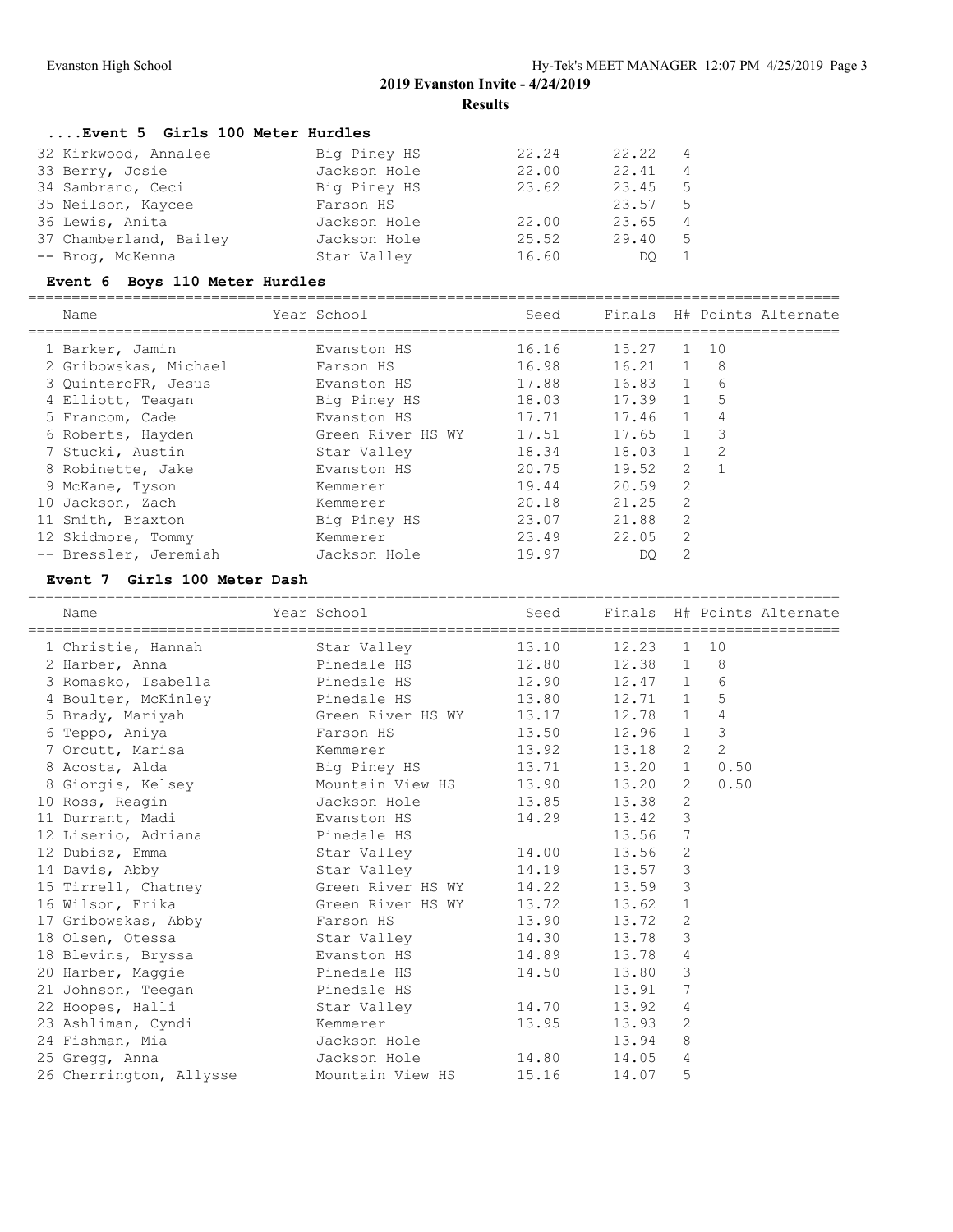### **....Event 5 Girls 100 Meter Hurdles**

| 32 Kirkwood, Annalee   | Big Piney HS | 22.24 | 22.22 | $\sim$ 4       |
|------------------------|--------------|-------|-------|----------------|
| 33 Berry, Josie        | Jackson Hole | 22.00 | 22.41 | $\overline{4}$ |
| 34 Sambrano, Ceci      | Big Piney HS | 23.62 | 23.45 | -5             |
| 35 Neilson, Kaycee     | Farson HS    |       | 23.57 | -5             |
| 36 Lewis, Anita        | Jackson Hole | 22.00 | 23.65 | $\overline{4}$ |
| 37 Chamberland, Bailey | Jackson Hole | 25.52 | 29.40 | -5             |
| -- Brog, McKenna       | Star Valley  | 16.60 | DO.   |                |

### **Event 6 Boys 110 Meter Hurdles**

| Name                  | Year School       | Seed  |           |                |                | Finals H# Points Alternate |
|-----------------------|-------------------|-------|-----------|----------------|----------------|----------------------------|
| 1 Barker, Jamin       | Evanston HS       | 16.16 | 15.27     | $\mathbf{1}$   | 10             |                            |
| 2 Gribowskas, Michael | Farson HS         | 16.98 | $16.21$ 1 |                | - 8            |                            |
| 3 OuinteroFR, Jesus   | Evanston HS       | 17.88 | 16.83 1   |                | 6              |                            |
| 4 Elliott, Teagan     | Big Piney HS      | 18.03 | 17.39 1   |                | 5              |                            |
| 5 Francom, Cade       | Evanston HS       | 17.71 | 17.46     | $\frac{1}{2}$  | 4              |                            |
| 6 Roberts, Hayden     | Green River HS WY | 17.51 | 17.65 1   |                | 3              |                            |
| 7 Stucki, Austin      | Star Valley       | 18.34 | 18.03 1   |                | -2             |                            |
| 8 Robinette, Jake     | Evanston HS       | 20.75 | 19.52     | 2              | $\overline{1}$ |                            |
| 9 McKane, Tyson       | Kemmerer          | 19.44 | 20.59     | 2              |                |                            |
| 10 Jackson, Zach      | Kemmerer          | 20.18 | 21.25     | 2              |                |                            |
| 11 Smith, Braxton     | Big Piney HS      | 23.07 | 21.88     | 2              |                |                            |
| 12 Skidmore, Tommy    | Kemmerer          | 23.49 | 22.05     | 2              |                |                            |
| -- Bressler, Jeremiah | Jackson Hole      | 19.97 | DO        | $\mathfrak{D}$ |                |                            |

## **Event 7 Girls 100 Meter Dash**

| Name                                                                                   | Year School                                  Seed       Finals  H# Points Alternate |  |            |                 |                |  |
|----------------------------------------------------------------------------------------|-------------------------------------------------------------------------------------|--|------------|-----------------|----------------|--|
| 1 Christie, Hannah Star Valley 13.10                                                   |                                                                                     |  | 12.23 1 10 |                 |                |  |
| 2 Harber, Anna                       Pinedale HS             12.80       12.38   1   8 |                                                                                     |  |            |                 |                |  |
|                                                                                        |                                                                                     |  |            |                 | 6              |  |
| 4 Boulter, McKinley                Pinedale HS                 13.80       12.71   1   |                                                                                     |  |            |                 | 5              |  |
| 5 Brady, Mariyah 6reen River HS WY 13.17 12.78 1                                       |                                                                                     |  |            |                 | $\overline{4}$ |  |
| 6 Teppo, Aniya                                                                         | Farson HS 13.50 12.96 1                                                             |  |            |                 | $\mathfrak{Z}$ |  |
| 7 Orcutt, Marisa 6 (1994) Kemmerer 13.92 13.18 2                                       |                                                                                     |  |            |                 | $\overline{2}$ |  |
| 8 Acosta, Alda                       Big Piney HS           13.71                      |                                                                                     |  | 13.20 1    |                 | 0.50           |  |
| 8 Giorgis, Kelsey             Mountain View HS       13.90     13.20   2               |                                                                                     |  |            |                 | 0.50           |  |
| 10 Ross, Reagin <sup>Jackson</sup> Hole 13.85 13.38 2                                  |                                                                                     |  |            |                 |                |  |
|                                                                                        |                                                                                     |  |            |                 |                |  |
|                                                                                        |                                                                                     |  |            |                 |                |  |
|                                                                                        |                                                                                     |  |            |                 |                |  |
|                                                                                        |                                                                                     |  |            |                 |                |  |
| 15 Tirrell, Chatney 6reen River HS WY 14.22 13.59 3                                    |                                                                                     |  |            |                 |                |  |
| 16 Wilson, Erika                                                                       | Green River HS WY 13.72 13.62 1                                                     |  |            |                 |                |  |
| 17 Gribowskas, Abby                 Farson HS                13.90     13.72   2       |                                                                                     |  |            |                 |                |  |
|                                                                                        |                                                                                     |  | 13.78 3    |                 |                |  |
| 18 Blevins, Bryssa             Evanston HS           14.89                             |                                                                                     |  | 13.78 4    |                 |                |  |
| 20 Harber, Maggie <b>14.50</b> Pinedale HS 14.50                                       |                                                                                     |  | 13.80 3    |                 |                |  |
| 21 Johnson, Teegan Pinedale HS                                                         |                                                                                     |  | 13.91      | $7\phantom{.0}$ |                |  |
| 22 Hoopes, Halli Star Valley 14.70                                                     |                                                                                     |  | 13.92 4    |                 |                |  |
| 23 Ashliman, Cyndia (13.95) Kemmerer (13.95)                                           |                                                                                     |  | 13.93 2    |                 |                |  |
| 24 Fishman, Mia<br>Jackson Hole                                                        |                                                                                     |  | 13.94 8    |                 |                |  |
| 25 Gregg, Anna (a) Jackson Hole (14.80)                                                |                                                                                     |  | 14.05 4    |                 |                |  |
| 26 Cherrington, Allysse Mountain View HS 15.16                                         |                                                                                     |  | 14.07      | 5               |                |  |
|                                                                                        |                                                                                     |  |            |                 |                |  |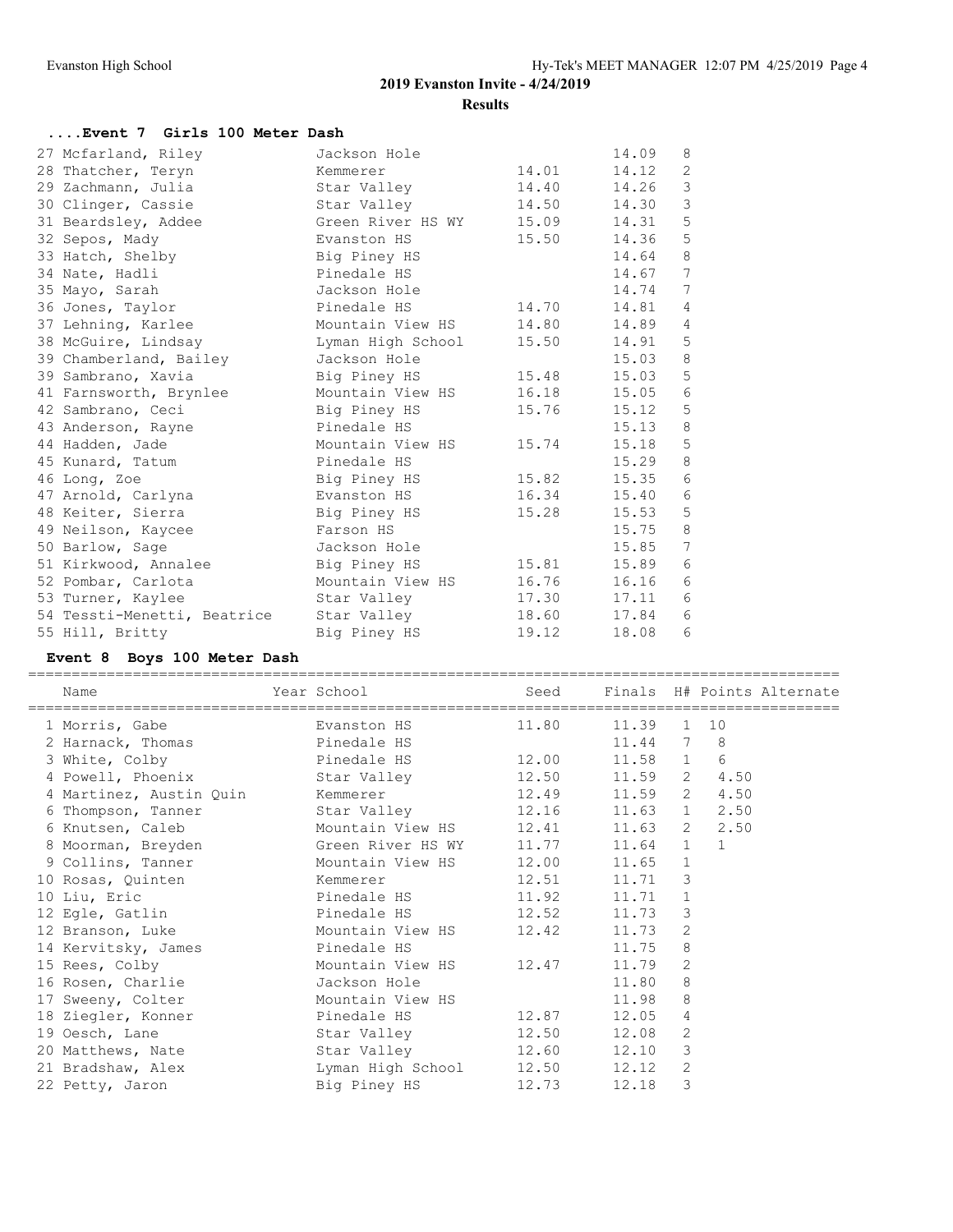#### **....Event 7 Girls 100 Meter Dash**

| 27 Mcfarland, Riley         | Jackson Hole            |       | 14.09 | 8              |
|-----------------------------|-------------------------|-------|-------|----------------|
| 28 Thatcher, Teryn          | Kemmerer                | 14.01 | 14.12 | 2              |
| 29 Zachmann, Julia          | Star Valley             | 14.40 | 14.26 | $\mathcal{S}$  |
| 30 Clinger, Cassie          | Star Valley             | 14.50 | 14.30 | 3              |
| 31 Beardsley, Addee         | Green River HS WY 15.09 |       | 14.31 | $\mathsf S$    |
| 32 Sepos, Mady              | Evanston HS             | 15.50 | 14.36 | 5              |
| 33 Hatch, Shelby            | Big Piney HS            |       | 14.64 | $\,8\,$        |
| 34 Nate, Hadli              | Pinedale HS             |       | 14.67 | 7              |
| 35 Mayo, Sarah              | Jackson Hole            |       | 14.74 | 7              |
| 36 Jones, Taylor            | Pinedale HS             | 14.70 | 14.81 | $\overline{4}$ |
| 37 Lehning, Karlee          | Mountain View HS 14.80  |       | 14.89 | $\overline{4}$ |
| 38 McGuire, Lindsay         | Lyman High School       | 15.50 | 14.91 | $\overline{5}$ |
| 39 Chamberland, Bailey      | Jackson Hole            |       | 15.03 | $\,8\,$        |
| 39 Sambrano, Xavia          | Big Piney HS            | 15.48 | 15.03 | $\mathsf S$    |
| 41 Farnsworth, Brynlee      | Mountain View HS 16.18  |       | 15.05 | $\epsilon$     |
| 42 Sambrano, Ceci           | Big Piney HS            | 15.76 | 15.12 | 5              |
| 43 Anderson, Rayne          | Pinedale HS             |       | 15.13 | $\,8\,$        |
| 44 Hadden, Jade             | Mountain View HS        | 15.74 | 15.18 | $\overline{5}$ |
| 45 Kunard, Tatum            | Pinedale HS             |       | 15.29 | $\,8\,$        |
| 46 Long, Zoe                | Big Piney HS            | 15.82 | 15.35 | 6              |
| 47 Arnold, Carlyna          | Evanston HS             | 16.34 | 15.40 | 6              |
| 48 Keiter, Sierra           | Big Piney HS            | 15.28 | 15.53 | 5              |
| 49 Neilson, Kaycee          | Farson HS               |       | 15.75 | $\,8\,$        |
| 50 Barlow, Sage             | Jackson Hole            |       | 15.85 | 7              |
| 51 Kirkwood, Annalee        | Big Piney HS            | 15.81 | 15.89 | 6              |
| 52 Pombar, Carlota          | Mountain View HS        | 16.76 | 16.16 | 6              |
| 53 Turner, Kaylee           | Star Valley             | 17.30 | 17.11 | 6              |
| 54 Tessti-Menetti, Beatrice | Star Valley             | 18.60 | 17.84 | 6              |
| 55 Hill, Britty             | Big Piney HS            | 19.12 | 18.08 | 6              |

# **Event 8 Boys 100 Meter Dash**

============================================================================================= Year School Seed Finals H# Points Alternate

| 1 Morris, Gabe 6 2 Evanston HS 21.80                                 |                               |       | 11.39 1 10     |   |      |
|----------------------------------------------------------------------|-------------------------------|-------|----------------|---|------|
| 2 Harnack, Thomas 2 Pinedale HS                                      |                               |       | 11.44 7 8      |   |      |
| 3 White, Colby <b>2018</b> Pinedale HS 22.00 21.58 1 6               |                               |       |                |   |      |
| 4 Powell, Phoenix 5tar Valley 12.50 11.59 2                          |                               |       |                |   | 4.50 |
| 4 Martinez, Austin Quin Kemmerer 12.49 11.59 2                       |                               |       |                |   | 4.50 |
| 6 Thompson, Tanner 6 Star Valley 12.16 11.63 1 2.50                  |                               |       |                |   |      |
| 6 Knutsen, Caleb Mountain View HS 12.41                              |                               |       | $11.63$ 2 2.50 |   |      |
| 8 Moorman, Breyden 6reen River HS WY 11.77 11.64 1 1                 |                               |       |                |   |      |
| 9 Collins, Tanner Mountain View HS 12.00 11.65 1                     |                               |       |                |   |      |
| 10 Rosas, Quinten 6 Kemmerer 12.51                                   |                               |       | $11.71$ 3      |   |      |
| 10 Liu, Eric               Pinedale HS           11.92     11.71   1 |                               |       |                |   |      |
| 12 Egle, Gatlin $\qquad$ Pinedale HS $\qquad$ 12.52 11.73 3          |                               |       |                |   |      |
| 12 Branson, Luke Mountain View HS 12.42 11.73                        |                               |       |                | 2 |      |
| 14 Kervitsky, James Pinedale HS                                      |                               |       | 11.75          | 8 |      |
| 15 Rees, Colby <b>Mountain View HS</b> 12.47                         |                               |       | 11.79 2        |   |      |
| 16 Rosen, Charlie       Jackson Hole                                 |                               |       | 11.80          | 8 |      |
| 17 Sweeny, Colter                                                    | Mountain View HS              | 11.98 |                | 8 |      |
| 18 Ziegler, Konner                                                   | Pinedale HS 12.87             |       | 12.05          | 4 |      |
| 19 Oesch, Lane Star Valley 12.50                                     |                               |       | 12.08          | 2 |      |
| 20 Matthews, Nate 51 Star Valley 12.60 12.10 3                       |                               |       |                |   |      |
| 21 Bradshaw, Alex                                                    | Lyman High School 12.50 12.12 |       |                | 2 |      |
| 22 Petty, Jaron                                                      | Big Piney HS 12.73            |       | 12.18          | 3 |      |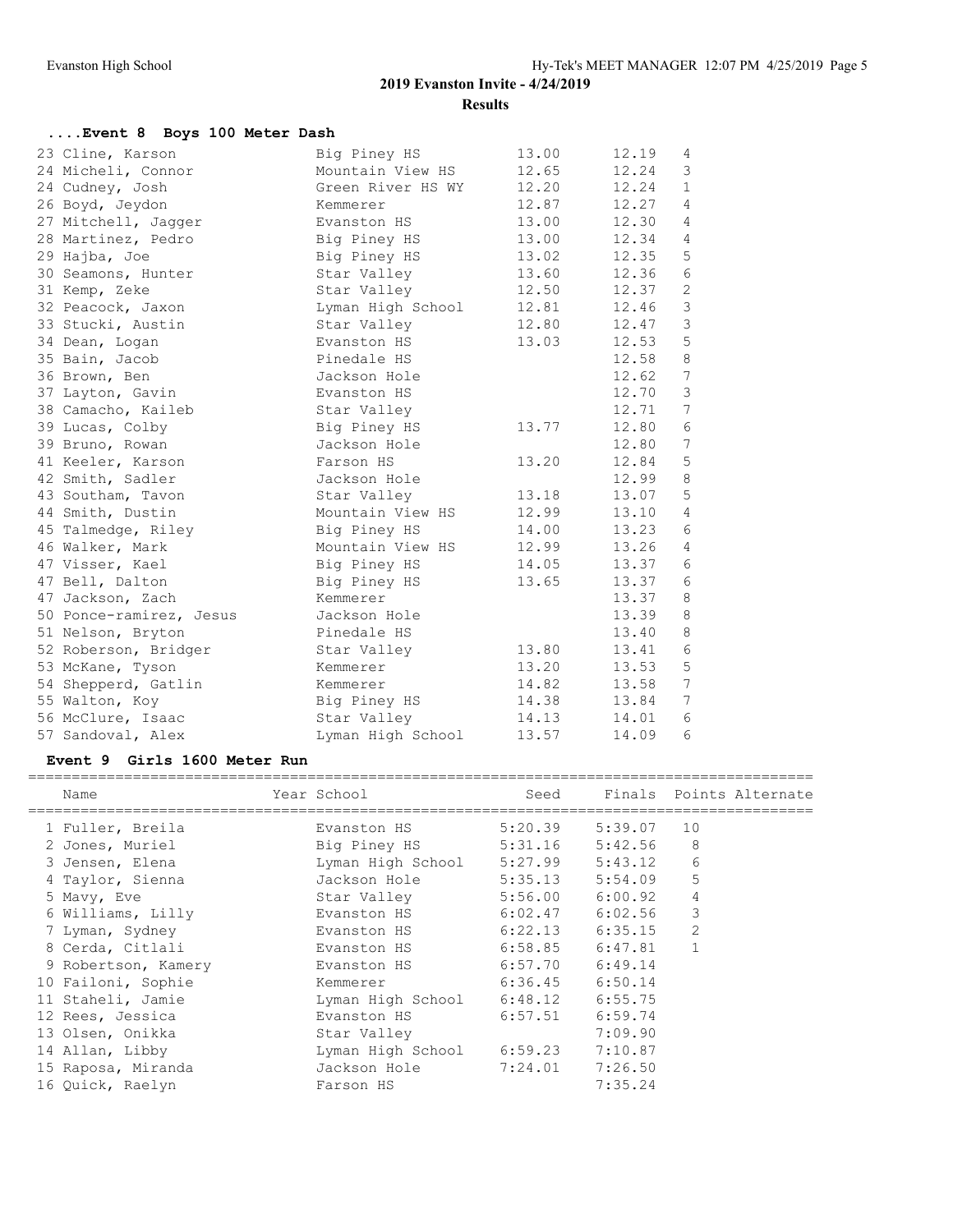### **....Event 8 Boys 100 Meter Dash**

| 23 Cline, Karson        | Big Piney HS      | 13.00 | 12.19 | $4\overline{ }$ |
|-------------------------|-------------------|-------|-------|-----------------|
| 24 Micheli, Connor      | Mountain View HS  | 12.65 | 12.24 | 3               |
| 24 Cudney, Josh         | Green River HS WY | 12.20 | 12.24 | $\mathbf{1}$    |
| 26 Boyd, Jeydon         | Kemmerer          | 12.87 | 12.27 | 4               |
| 27 Mitchell, Jagger     | Evanston HS       | 13.00 | 12.30 | $\overline{4}$  |
| 28 Martinez, Pedro      | Big Piney HS      | 13.00 | 12.34 | 4               |
| 29 Hajba, Joe           | Big Piney HS      | 13.02 | 12.35 | 5               |
| 30 Seamons, Hunter      | Star Valley       | 13.60 | 12.36 | $\sqrt{6}$      |
| 31 Kemp, Zeke           | Star Valley       | 12.50 | 12.37 | $\sqrt{2}$      |
| 32 Peacock, Jaxon       | Lyman High School | 12.81 | 12.46 | $\mathfrak{Z}$  |
| 33 Stucki, Austin       | Star Valley       | 12.80 | 12.47 | $\mathfrak{Z}$  |
| 34 Dean, Logan          | Evanston HS       | 13.03 | 12.53 | 5               |
| 35 Bain, Jacob          | Pinedale HS       |       | 12.58 | $\,8\,$         |
| 36 Brown, Ben           | Jackson Hole      |       | 12.62 | $\sqrt{ }$      |
| 37 Layton, Gavin        | Evanston HS       |       | 12.70 | 3               |
| 38 Camacho, Kaileb      | Star Valley       |       | 12.71 | $7\phantom{.0}$ |
| 39 Lucas, Colby         | Big Piney HS      | 13.77 | 12.80 | 6               |
| 39 Bruno, Rowan         | Jackson Hole      |       | 12.80 | $7\phantom{.0}$ |
| 41 Keeler, Karson       | Farson HS         | 13.20 | 12.84 | 5               |
| 42 Smith, Sadler        | Jackson Hole      |       | 12.99 | $\,8\,$         |
| 43 Southam, Tavon       | Star Valley       | 13.18 | 13.07 | $\mathsf S$     |
| 44 Smith, Dustin        | Mountain View HS  | 12.99 | 13.10 | $\overline{4}$  |
| 45 Talmedge, Riley      | Big Piney HS      | 14.00 | 13.23 | 6               |
| 46 Walker, Mark         | Mountain View HS  | 12.99 | 13.26 | 4               |
| 47 Visser, Kael         | Big Piney HS      | 14.05 | 13.37 | $\epsilon$      |
| 47 Bell, Dalton         | Big Piney HS      | 13.65 | 13.37 | 6               |
| 47 Jackson, Zach        | Kemmerer          |       | 13.37 | $\,8\,$         |
| 50 Ponce-ramirez, Jesus | Jackson Hole      |       | 13.39 | 8               |
| 51 Nelson, Bryton       | Pinedale HS       |       | 13.40 | 8               |
| 52 Roberson, Bridger    | Star Valley       | 13.80 | 13.41 | 6               |
| 53 McKane, Tyson        | Kemmerer          | 13.20 | 13.53 | $\mathsf S$     |
| 54 Shepperd, Gatlin     | Kemmerer          | 14.82 | 13.58 | $7\phantom{.0}$ |
| 55 Walton, Koy          | Big Piney HS      | 14.38 | 13.84 | 7               |
| 56 McClure, Isaac       | Star Valley       | 14.13 | 14.01 | 6               |
| 57 Sandoval, Alex       | Lyman High School | 13.57 | 14.09 | 6               |

### **Event 9 Girls 1600 Meter Run**

| Name                | Year School       |         | Seed Finals Points Alternate |    |  |
|---------------------|-------------------|---------|------------------------------|----|--|
| 1 Fuller, Breila    | Evanston HS       | 5:20.39 | 5:39.07                      | 10 |  |
| 2 Jones, Muriel     | Big Piney HS      | 5:31.16 | 5:42.56                      | 8  |  |
| 3 Jensen, Elena     | Lyman High School | 5:27.99 | 5:43.12                      | 6  |  |
| 4 Taylor, Sienna    | Jackson Hole      | 5:35.13 | 5:54.09                      | 5  |  |
| 5 Mavy, Eve         | Star Valley       | 5:56.00 | 6:00.92                      | 4  |  |
| 6 Williams, Lilly   | Evanston HS       | 6:02.47 | 6:02.56                      | 3  |  |
| 7 Lyman, Sydney     | Evanston HS       | 6:22.13 | 6:35.15                      | 2  |  |
| 8 Cerda, Citlali    | Evanston HS       | 6:58.85 | 6:47.81                      |    |  |
| 9 Robertson, Kamery | Evanston HS       | 6:57.70 | 6:49.14                      |    |  |
| 10 Failoni, Sophie  | Kemmerer          | 6:36.45 | 6:50.14                      |    |  |
| 11 Staheli, Jamie   | Lyman High School | 6:48.12 | 6:55.75                      |    |  |
| 12 Rees, Jessica    | Evanston HS       | 6:57.51 | 6:59.74                      |    |  |
| 13 Olsen, Onikka    | Star Valley       |         | 7:09.90                      |    |  |
| 14 Allan, Libby     | Lyman High School | 6:59.23 | 7:10.87                      |    |  |
| 15 Raposa, Miranda  | Jackson Hole      | 7:24.01 | 7:26.50                      |    |  |
| 16 Quick, Raelyn    | Farson HS         |         | 7:35.24                      |    |  |
|                     |                   |         |                              |    |  |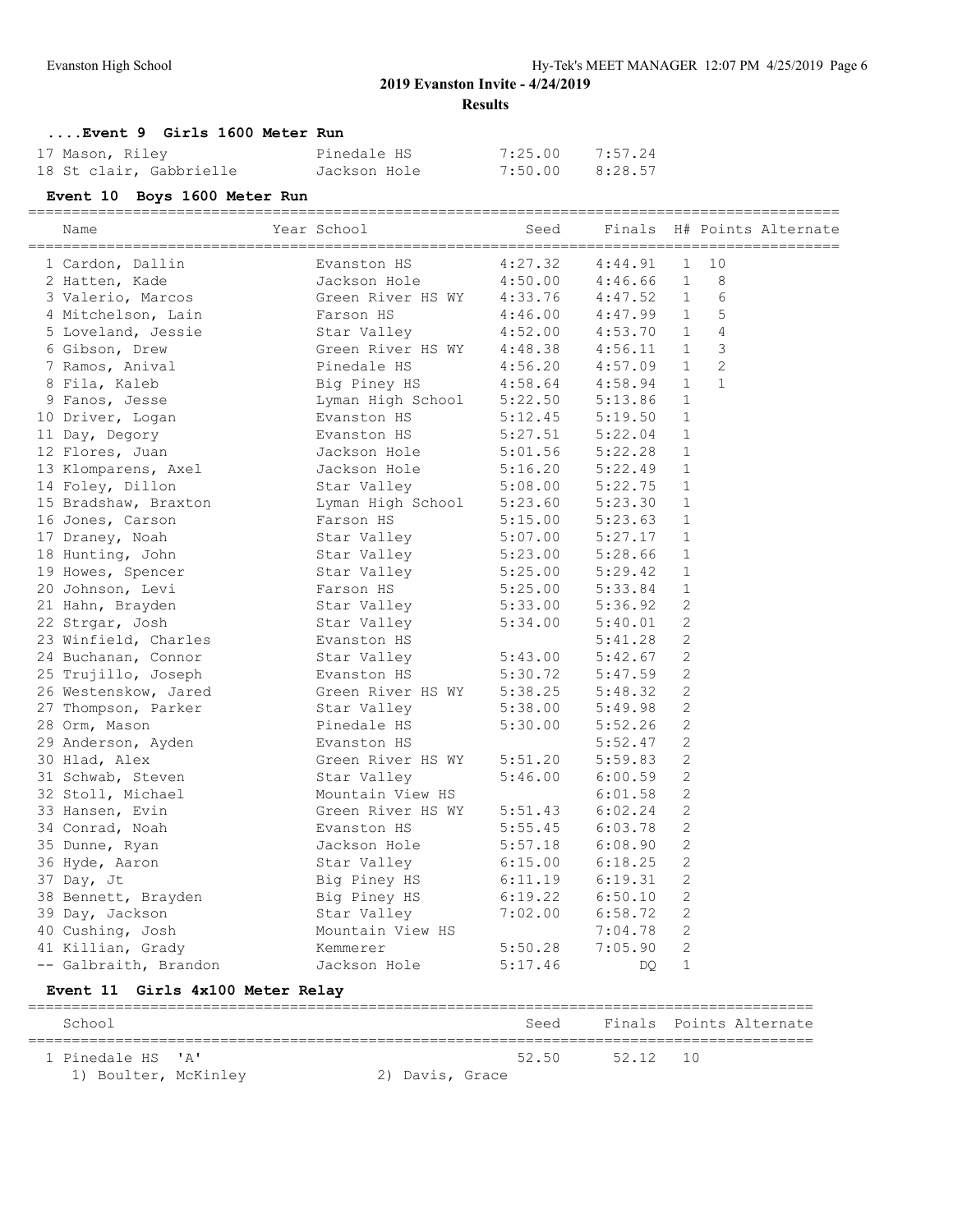**....Event 9 Girls 1600 Meter Run**

| 17 Mason, Riley         | Pinedale HS  | 7:25.00 | 7:57.24 |
|-------------------------|--------------|---------|---------|
| 18 St clair, Gabbrielle | Jackson Hole | 7:50.00 | 8:28.57 |

| Name                             | Year School       | Seed    | Finals                |                |                | H# Points Alternate |
|----------------------------------|-------------------|---------|-----------------------|----------------|----------------|---------------------|
| 1 Cardon, Dallin                 | Evanston HS       |         | $4:27.32$ $4:44.91$   | $\mathbf{1}$   | 10             |                     |
| 2 Hatten, Kade                   | Jackson Hole      |         | $4:50.00$ $4:46.66$   | $\mathbf{1}$   | 8              |                     |
| 3 Valerio, Marcos                | Green River HS WY |         | $4:33.76$ $4:47.52$ 1 |                | 6              |                     |
| 4 Mitchelson, Lain               | Farson HS         |         | $4:46.00$ $4:47.99$ 1 |                | 5              |                     |
| 5 Loveland, Jessie               | Star Valley       |         | $4:52.00$ $4:53.70$   | $\overline{1}$ | $\overline{4}$ |                     |
| 6 Gibson, Drew                   | Green River HS WY |         | $4:48.38$ $4:56.11$   | $\mathbf{1}$   | 3              |                     |
| 7 Ramos, Anival                  | Pinedale HS       | 4:56.20 | 4:57.09 1             |                | 2              |                     |
| 8 Fila, Kaleb                    | Big Piney HS      | 4:58.64 | $4:58.94$ 1           |                | $\mathbf{1}$   |                     |
| 9 Fanos, Jesse                   | Lyman High School | 5:22.50 | 5:13.86               | $\mathbf{1}$   |                |                     |
| 10 Driver, Logan                 | Evanston HS       | 5:12.45 | 5:19.50               | 1              |                |                     |
| 11 Day, Degory                   | Evanston HS       | 5:27.51 | 5:22.04               | 1              |                |                     |
| 12 Flores, Juan                  | Jackson Hole      | 5:01.56 | 5:22.28               | 1              |                |                     |
| 13 Klomparens, Axel              | Jackson Hole      |         | $5:16.20$ $5:22.49$   | 1              |                |                     |
| 14 Foley, Dillon                 | Star Valley       |         | $5:08.00$ $5:22.75$   | $\overline{1}$ |                |                     |
| 15 Bradshaw, Braxton             | Lyman High School | 5:23.60 | 5:23.30               | $\mathbf{1}$   |                |                     |
| 16 Jones, Carson                 | Farson HS         | 5:15.00 | 5:23.63               | 1              |                |                     |
| 17 Draney, Noah                  | Star Valley       | 5:07.00 | 5:27.17               | -1             |                |                     |
| 18 Hunting, John                 | Star Valley       | 5:23.00 | 5:28.66               | 1              |                |                     |
| 19 Howes, Spencer                | Star Valley       | 5:25.00 | 5:29.42               | 1              |                |                     |
| 20 Johnson, Levi                 | Farson HS         | 5:25.00 | 5:33.84               | $\overline{1}$ |                |                     |
| 21 Hahn, Brayden                 | Star Valley       | 5:33.00 | 5:36.92               | $\mathbf{2}$   |                |                     |
| 22 Strgar, Josh                  | Star Valley       | 5:34.00 | 5:40.01               | 2              |                |                     |
| 23 Winfield, Charles             | Evanston HS       |         | 5:41.28               | 2              |                |                     |
| 24 Buchanan, Connor              | Star Valley       | 5:43.00 | 5:42.67               | 2              |                |                     |
| 25 Trujillo, Joseph              | Evanston HS       | 5:30.72 | 5:47.59               | 2              |                |                     |
| 26 Westenskow, Jared             | Green River HS WY | 5:38.25 | 5:48.32               | 2              |                |                     |
| 27 Thompson, Parker              | Star Valley       | 5:38.00 | 5:49.98               | 2              |                |                     |
| 28 Orm, Mason                    | Pinedale HS       | 5:30.00 | 5:52.26               | 2              |                |                     |
| 29 Anderson, Ayden               | Evanston HS       |         | 5:52.47               | 2              |                |                     |
| 30 Hlad, Alex                    | Green River HS WY | 5:51.20 | 5:59.83               | 2              |                |                     |
| 31 Schwab, Steven                | Star Valley       | 5:46.00 | 6:00.59               | 2              |                |                     |
| 32 Stoll, Michael                | Mountain View HS  |         | 6:01.58               | 2              |                |                     |
| 33 Hansen, Evin                  | Green River HS WY | 5:51.43 | 6:02.24               | 2              |                |                     |
| 34 Conrad, Noah                  | Evanston HS       | 5:55.45 | 6:03.78               | $\overline{2}$ |                |                     |
| 35 Dunne, Ryan                   | Jackson Hole      | 5:57.18 | 6:08.90               | 2              |                |                     |
| 36 Hyde, Aaron                   | Star Valley       | 6:15.00 | 6:18.25               | 2              |                |                     |
| 37 Day, Jt                       | Big Piney HS      | 6:11.19 | 6:19.31               | $\overline{2}$ |                |                     |
| 38 Bennett, Brayden              | Big Piney HS      | 6:19.22 | 6:50.10               | 2              |                |                     |
| 39 Day, Jackson                  | Star Valley       | 7:02.00 | 6:58.72               | 2              |                |                     |
| 40 Cushing, Josh                 | Mountain View HS  |         | 7:04.78               | 2              |                |                     |
| 41 Killian, Grady                | Kemmerer          | 5:50.28 | 7:05.90               | 2              |                |                     |
| -- Galbraith, Brandon            | Jackson Hole      | 5:17.46 | DQ.                   | 1              |                |                     |
| Event 11 Girls 4x100 Meter Relay |                   |         |                       |                |                |                     |

| School                                    |  |                 | Seed  |          | Finals Points Alternate |
|-------------------------------------------|--|-----------------|-------|----------|-------------------------|
| 1 Pinedale HS 'A'<br>1) Boulter, McKinley |  | 2) Davis, Grace | 52.50 | 52.12 10 |                         |
|                                           |  |                 |       |          |                         |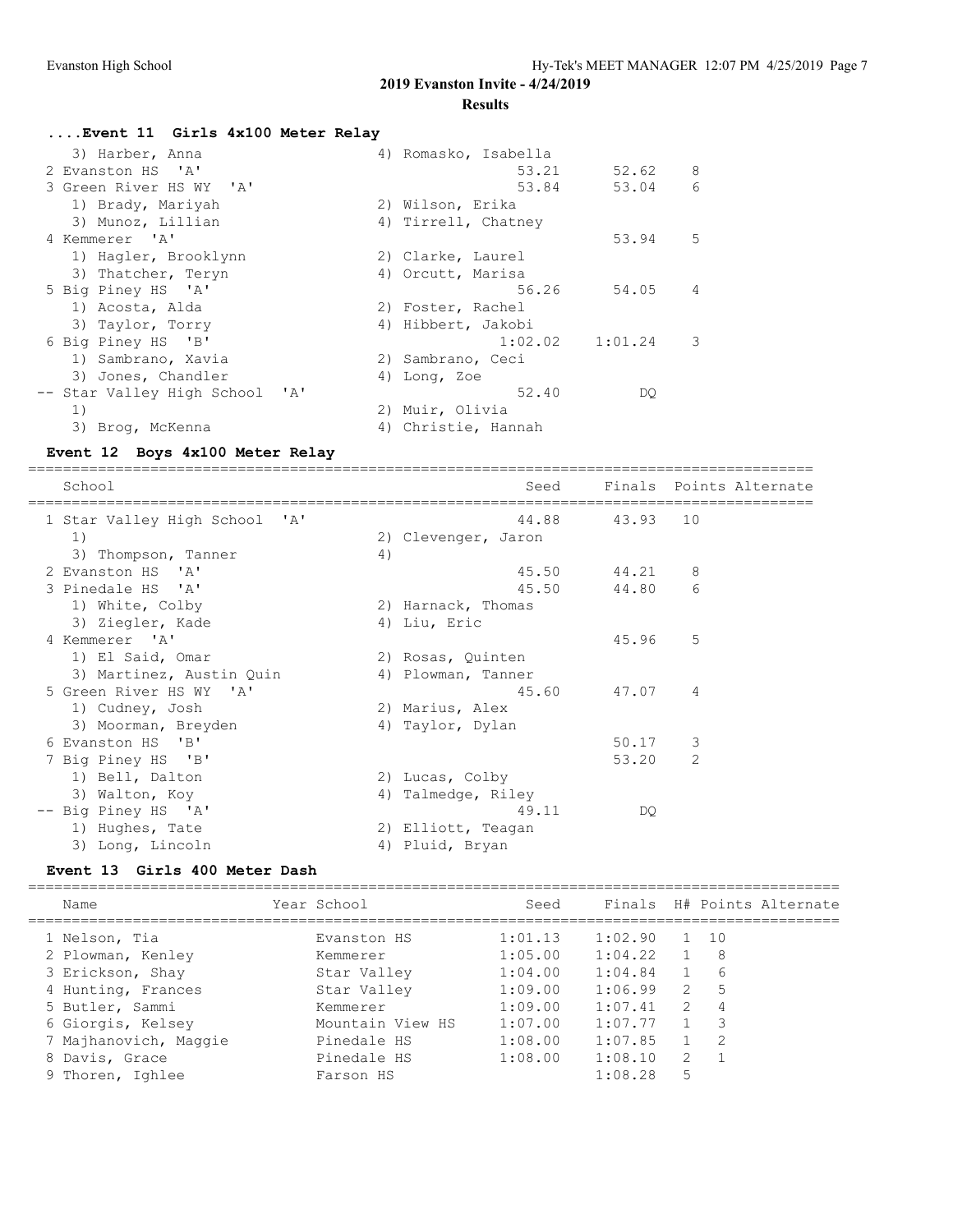| Event 11 Girls 4x100 Meter Relay |                          |
|----------------------------------|--------------------------|
| 3) Harber, Anna                  | 4) Romasko, Isabella     |
| 2 Evanston HS 'A'                | 8<br>52.62<br>53.21      |
| 3 Green River HS WY 'A'          | 6<br>53.84<br>53.04      |
| 1) Brady, Mariyah                | 2) Wilson, Erika         |
| 3) Munoz, Lillian                | 4) Tirrell, Chatney      |
| 4 Kemmerer 'A'                   | 53.94<br>-5              |
| 1) Hagler, Brooklynn             | 2) Clarke, Laurel        |
| 3) Thatcher, Teryn               | 4) Orcutt, Marisa        |
| 5 Big Piney HS 'A'               | 56.26<br>54.05<br>4      |
| 1) Acosta, Alda                  | 2) Foster, Rachel        |
| 3) Taylor, Torry                 | 4) Hibbert, Jakobi       |
| 6 Big Piney HS 'B'               | $1:02.02$ $1:01.24$<br>3 |
| 1) Sambrano, Xavia               | 2) Sambrano, Ceci        |
| 3) Jones, Chandler               | 4) Long, Zoe             |
| -- Star Valley High School 'A'   | 52.40<br>DO              |
| 1)                               | 2) Muir, Olivia          |
| 3) Brog, McKenna                 | 4) Christie, Hannah      |

### **Event 12 Boys 4x100 Meter Relay**

========================================================================================== Seed Finals Points Alternate ========================================================================================== 1 Star Valley High School 'A' 44.88 43.93 10 1) 2) Clevenger, Jaron 3) Thompson, Tanner 4) 2 Evanston HS 'A' 45.50 44.21 8 3 Pinedale HS 'A' 45.50 44.80 6 1) White, Colby 2) Harnack, Thomas 3) Ziegler, Kade 4) Liu, Eric 4 Kemmerer 'A' 45.96 5 1) El Said, Omar 2) Rosas, Quinten 3) Martinez, Austin Quin (4) Plowman, Tanner 5 Green River HS WY 'A' 45.60 47.07 4 1) Cudney, Josh 2) Marius, Alex 3) Moorman, Breyden (4) Taylor, Dylan 6 Evanston HS 'B' 50.17 3 7 Big Piney HS 'B' 53.20 2 1) Bell, Dalton 2) Lucas, Colby 3) Walton, Koy 1988 (4) Talmedge, Riley -- Big Piney HS 'A' 49.11 DQ 1) Hughes, Tate 2) Elliott, Teagan 3) Long, Lincoln (4) Pluid, Bryan

### **Event 13 Girls 400 Meter Dash**

| Name                  | Year School      | Seed    |         |                | Finals H# Points Alternate |  |
|-----------------------|------------------|---------|---------|----------------|----------------------------|--|
| 1 Nelson, Tia         | Evanston HS      | 1:01.13 | 1:02.90 |                | 1 10                       |  |
| 2 Plowman, Kenley     | Kemmerer         | 1:05.00 | 1:04.22 | 1              | - 8                        |  |
| 3 Erickson, Shay      | Star Valley      | 1:04.00 | 1:04.84 | 1              | - 6                        |  |
| 4 Hunting, Frances    | Star Valley      | 1:09.00 | 1:06.99 |                | 2 5                        |  |
| 5 Butler, Sammi       | Kemmerer         | 1:09.00 | 1:07.41 | $\overline{2}$ | $\overline{4}$             |  |
| 6 Giorgis, Kelsey     | Mountain View HS | 1:07.00 | 1:07.77 | $\overline{1}$ | $\mathcal{R}$              |  |
| 7 Majhanovich, Maggie | Pinedale HS      | 1:08.00 | 1:07.85 | $\sim$ 1       | - 2                        |  |
| 8 Davis, Grace        | Pinedale HS      | 1:08.00 | 1:08.10 | 2              | $\overline{1}$             |  |
| 9 Thoren, Ighlee      | Farson HS        |         | 1:08.28 | .5             |                            |  |
|                       |                  |         |         |                |                            |  |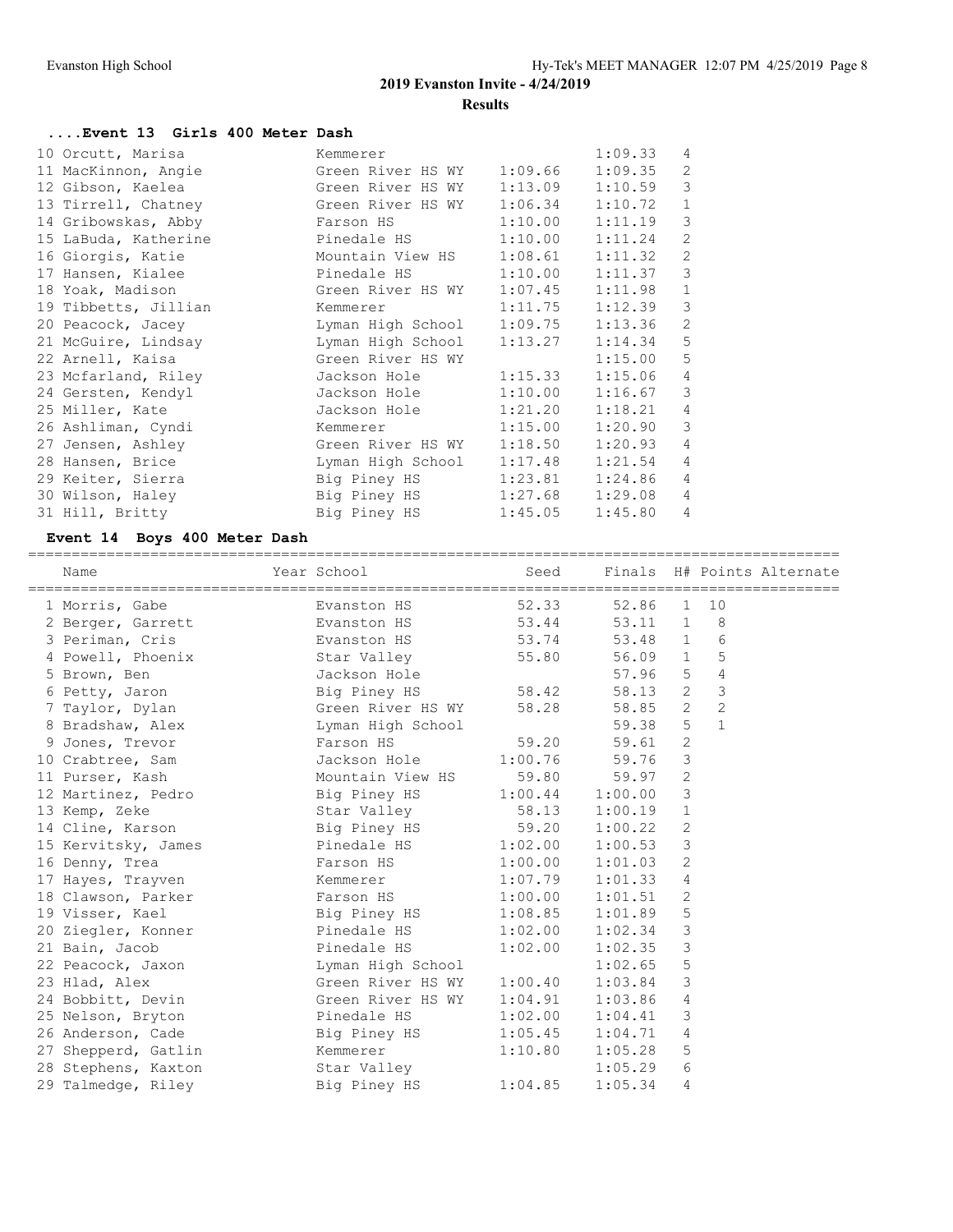# **....Event 13 Girls 400 Meter Dash**

| 10 Orcutt, Marisa    | Kemmerer                  |         | 1:09.33 | $\overline{4}$ |
|----------------------|---------------------------|---------|---------|----------------|
| 11 MacKinnon, Angie  | Green River HS WY 1:09.66 |         | 1:09.35 | 2              |
| 12 Gibson, Kaelea    | Green River HS WY         | 1:13.09 | 1:10.59 | 3              |
| 13 Tirrell, Chatney  | Green River HS WY         | 1:06.34 | 1:10.72 | $\mathbf{1}$   |
| 14 Gribowskas, Abby  | Farson HS                 | 1:10.00 | 1:11.19 | 3              |
| 15 LaBuda, Katherine | Pinedale HS               | 1:10.00 | 1:11.24 | $\overline{2}$ |
| 16 Giorgis, Katie    | Mountain View HS          | 1:08.61 | 1:11.32 | 2              |
| 17 Hansen, Kialee    | Pinedale HS               | 1:10.00 | 1:11.37 | 3              |
| 18 Yoak, Madison     | Green River HS WY         | 1:07.45 | 1:11.98 | $\mathbf{1}$   |
| 19 Tibbetts, Jillian | Kemmerer                  | 1:11.75 | 1:12.39 | 3              |
| 20 Peacock, Jacey    | Lyman High School         | 1:09.75 | 1:13.36 | 2              |
| 21 McGuire, Lindsay  | Lyman High School         | 1:13.27 | 1:14.34 | 5              |
| 22 Arnell, Kaisa     | Green River HS WY         |         | 1:15.00 | 5              |
| 23 Mcfarland, Riley  | Jackson Hole              | 1:15.33 | 1:15.06 | 4              |
| 24 Gersten, Kendyl   | Jackson Hole Theory       | 1:10.00 | 1:16.67 | 3              |
| 25 Miller, Kate      | Jackson Hole              | 1:21.20 | 1:18.21 | $\overline{4}$ |
| 26 Ashliman, Cyndi   | Kemmerer                  | 1:15.00 | 1:20.90 | 3              |
| 27 Jensen, Ashley    | Green River HS WY         | 1:18.50 | 1:20.93 | $\overline{4}$ |
| 28 Hansen, Brice     | Lyman High School         | 1:17.48 | 1:21.54 | $\overline{4}$ |
| 29 Keiter, Sierra    | Big Piney HS              | 1:23.81 | 1:24.86 | 4              |
| 30 Wilson, Haley     | Big Piney HS              | 1:27.68 | 1:29.08 | $\overline{4}$ |
| 31 Hill, Britty      | Big Piney HS              | 1:45.05 | 1:45.80 | $\overline{4}$ |
|                      |                           |         |         |                |

# **Event 14 Boys 400 Meter Dash**

| Name                                                                                                               | Year School                             Seed       Finals   H# Points Alternate |             |                         |                |  |
|--------------------------------------------------------------------------------------------------------------------|---------------------------------------------------------------------------------|-------------|-------------------------|----------------|--|
| 1 Morris, Gabe                                                                                                     | Evanston HS 52.33                                                               | 52.86 1 10  |                         |                |  |
| 2 Berger, Garrett Evanston HS 53.44                                                                                |                                                                                 | 53.11 1     |                         | 8              |  |
|                                                                                                                    |                                                                                 | 53.48 1     |                         | 6              |  |
| 4 Powell, Phoenix Star Valley 55.80                                                                                |                                                                                 | 56.09 1     |                         | 5              |  |
|                                                                                                                    |                                                                                 | 57.96 5     |                         | $\overline{4}$ |  |
|                                                                                                                    |                                                                                 | 58.13 2     |                         | $\mathfrak{Z}$ |  |
| 7 Taylor, Dylan                                                                                                    | Green River HS WY 58.28 58.85 2                                                 |             |                         | $\mathbf{2}$   |  |
| 8 Bradshaw, Alex             Lyman High School                                                                     |                                                                                 | 59.38 5     |                         | $\mathbf{1}$   |  |
| 9 Jones, Trevor <b>Earson HS</b> 59.20                                                                             |                                                                                 | 59.61 2     |                         |                |  |
| 10 Crabtree, Sam Jackson Hole 1:00.76                                                                              |                                                                                 | 59.76       | $\overline{\mathbf{3}}$ |                |  |
| 11 Purser, Kash Mountain View HS 59.80                                                                             |                                                                                 | 59.97 2     |                         |                |  |
| 12 Martinez, Pedro Big Piney HS 1:00.44 1:00.00 3                                                                  |                                                                                 |             |                         |                |  |
| 13 Kemp, Zeke                                                                                                      | Star Valley 58.13                                                               | 1:00.19     | $\mathbf{1}$            |                |  |
|                                                                                                                    |                                                                                 | 1:00.22     | 2                       |                |  |
| 15 Kervitsky, James Pinedale HS 1:02.00                                                                            |                                                                                 | 1:00.53     | $\overline{\mathbf{3}}$ |                |  |
| 16 Denny, Trea                                                                                                     | Farson HS 1:00.00                                                               | 1:01.03 2   |                         |                |  |
| 17 Hayes, Trayven Kemmerer 1:07.79                                                                                 |                                                                                 | 1:01.33 4   |                         |                |  |
| 18 Clawson, Parker Farson HS 1:00.00                                                                               |                                                                                 | 1:01.51 2   |                         |                |  |
| 19 Visser, Kael                                                                                                    | Big Piney HS 1:08.85                                                            | 1:01.89 5   |                         |                |  |
| 20 Ziegler, Konner Pinedale HS 1:02.00                                                                             |                                                                                 | 1:02.34     | $\overline{\mathbf{3}}$ |                |  |
| 21 Bain, Jacob                                                                                                     | Pinedale HS 1:02.00                                                             | $1:02.35$ 3 |                         |                |  |
| 22 Peacock, Jaxon and Lyman High School                                                                            |                                                                                 | $1:02.65$ 5 |                         |                |  |
| 23 Hlad, Alex                                                                                                      | Green River HS WY 1:00.40                                                       | $1:03.84$ 3 |                         |                |  |
| 24 Bobbitt, Devin                                                                                                  | Green River HS WY 1:04.91                                                       | $1:03.86$ 4 |                         |                |  |
| 25 Nelson, Bryton                         Pinedale HS             1:02.00                                          |                                                                                 | 1:04.41     | 3                       |                |  |
| 26 Anderson, Cade Big Piney HS 1:05.45                                                                             |                                                                                 | $1:04.71$ 4 |                         |                |  |
| 27 Shepperd, Gatlin Kemmerer 1:10.80<br>28 Stephens, Kaxton Star Valley<br>29 Talmedge, Riley Big Piney HS 1:04.85 |                                                                                 | $1:05.28$ 5 |                         |                |  |
|                                                                                                                    |                                                                                 | 1:05.29     | 6                       |                |  |
|                                                                                                                    |                                                                                 | 1:05.34     | 4                       |                |  |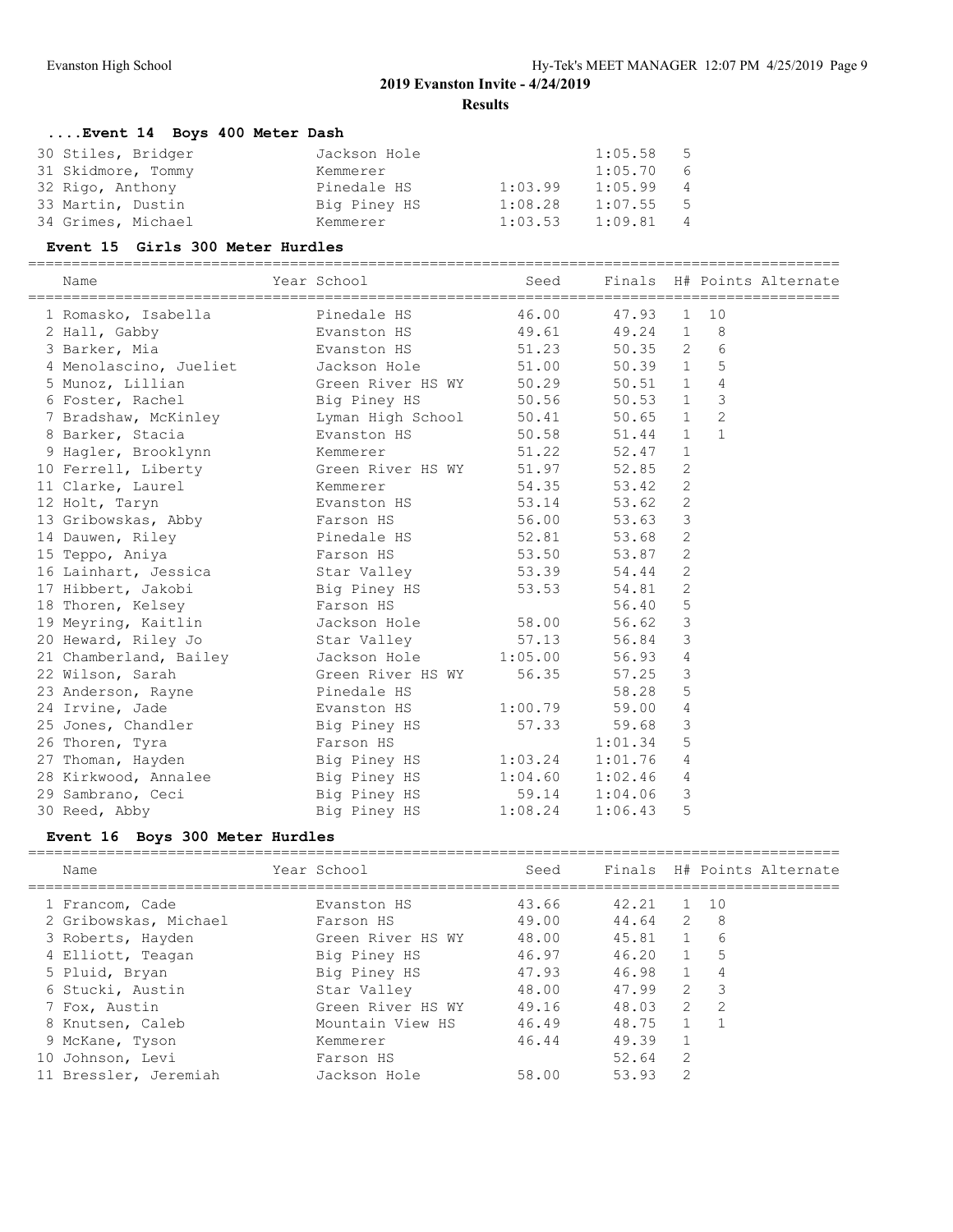### **....Event 14 Boys 400 Meter Dash**

| 30 Stiles, Bridger | Jackson Hole |         | 1:05.58 | - 5 |
|--------------------|--------------|---------|---------|-----|
| 31 Skidmore, Tommy | Kemmerer     |         | 1:05.70 | - 6 |
| 32 Rigo, Anthony   | Pinedale HS  | 1:03.99 | 1:05.99 | - 4 |
| 33 Martin, Dustin  | Big Piney HS | 1:08.28 | 1:07.55 | - 5 |
| 34 Grimes, Michael | Kemmerer     | 1:03.53 | 1:09.81 | - 4 |

# **Event 15 Girls 300 Meter Hurdles**

=============================================================================================

| Name<br>===================                   | Year School<br>==================== | Seed    |           |                         |                | Finals H# Points Alternate |
|-----------------------------------------------|-------------------------------------|---------|-----------|-------------------------|----------------|----------------------------|
| 1 Romasko, Isabella               Pinedale HS |                                     | 46.00   | 47.93     | $\mathbf{1}$            | 10             |                            |
| 2 Hall, Gabby                                 | Evanston HS                         | 49.61   | 49.24 1   |                         | - 8            |                            |
| 3 Barker, Mia                                 | Evanston HS                         | 51.23   | $50.35$ 2 |                         | 6              |                            |
| 4 Menolascino, Jueliet <a> Jackson Hole</a>   |                                     | 51.00   | $50.39$ 1 |                         | 5              |                            |
| 5 Munoz, Lillian                              | Green River HS WY                   | 50.29   | $50.51$ 1 |                         | 4              |                            |
| 6 Foster, Rachel                              | Big Piney HS                        | 50.56   | $50.53$ 1 |                         | 3              |                            |
| 7 Bradshaw, McKinley Man High School          |                                     | 50.41   | $50.65$ 1 |                         | $\overline{c}$ |                            |
| 8 Barker, Stacia                              | Evanston HS                         | 50.58   | 51.44 1   |                         | $\mathbf{1}$   |                            |
| 9 Hagler, Brooklynn Kemmerer                  |                                     | 51.22   | 52.47     | 1                       |                |                            |
| 10 Ferrell, Liberty Green River HS WY         |                                     | 51.97   | 52.85 2   |                         |                |                            |
| 11 Clarke, Laurel                             | Kemmerer                            | 54.35   | 53.42 2   |                         |                |                            |
| 12 Holt, Taryn                                | Evanston HS                         | 53.14   | 53.62     | $\overline{2}$          |                |                            |
| 13 Gribowskas, Abby Farson HS                 |                                     | 56.00   | 53.63 3   |                         |                |                            |
| 14 Dauwen, Riley                              | Pinedale HS                         | 52.81   | 53.68 2   |                         |                |                            |
| 15 Teppo, Aniya                               | Farson HS                           | 53.50   | 53.87     | 2                       |                |                            |
| 16 Lainhart, Jessica bar Star Valley          |                                     | 53.39   | 54.44     | 2                       |                |                            |
| 17 Hibbert, Jakobi Big Piney HS               |                                     | 53.53   | 54.81     | 2                       |                |                            |
| 18 Thoren, Kelsey                             | Farson HS                           |         | 56.40 5   |                         |                |                            |
| 19 Meyring, Kaitlin                           | Jackson Hole                        | 58.00   | 56.62 3   |                         |                |                            |
| 20 Heward, Riley Jo                           | Star Valley                         | 57.13   | 56.84 3   |                         |                |                            |
| 21 Chamberland, Bailey                        | Jackson Hole                        | 1:05.00 | 56.93     | $\overline{4}$          |                |                            |
| 22 Wilson, Sarah                              | Green River HS WY                   | 56.35   | 57.25     | $\overline{\mathbf{3}}$ |                |                            |
| 23 Anderson, Rayne <b>Banda</b> Pinedale HS   |                                     |         | 58.28     | 5                       |                |                            |
| 24 Irvine, Jade                               | Evanston HS                         | 1:00.79 | 59.00     | $\overline{4}$          |                |                            |
| 25 Jones, Chandler                            | Big Piney HS                        | 57.33   | 59.68 3   |                         |                |                            |
| 26 Thoren, Tyra                               | Farson HS                           |         | 1:01.34   | 5                       |                |                            |
| 27 Thoman, Hayden                             | Big Piney HS 1:03.24                |         | 1:01.76   | 4                       |                |                            |
| 28 Kirkwood, Annalee                          | Big Piney HS 1:04.60                |         | 1:02.46   | $\overline{4}$          |                |                            |
| 29 Sambrano, Ceci                             | Big Piney HS                        | 59.14   | 1:04.06   | 3                       |                |                            |
| 30 Reed, Abby                                 | Big Piney HS                        | 1:08.24 | 1:06.43   | 5                       |                |                            |
|                                               |                                     |         |           |                         |                |                            |

### **Event 16 Boys 300 Meter Hurdles**

| Name                  | Year School       | Seed  | Finals |                |               | H# Points Alternate |
|-----------------------|-------------------|-------|--------|----------------|---------------|---------------------|
| 1 Francom, Cade       | Evanston HS       | 43.66 | 42.21  |                | 10            |                     |
| 2 Gribowskas, Michael | Farson HS         | 49.00 | 44.64  | $\overline{2}$ | - 8           |                     |
| 3 Roberts, Hayden     | Green River HS WY | 48.00 | 45.81  | $\overline{1}$ | 6             |                     |
| 4 Elliott, Teagan     | Big Piney HS      | 46.97 | 46.20  | $\overline{1}$ | 5             |                     |
| 5 Pluid, Bryan        | Big Piney HS      | 47.93 | 46.98  | $\overline{1}$ | 4             |                     |
| 6 Stucki, Austin      | Star Valley       | 48.00 | 47.99  | 2              | 3             |                     |
| 7 Fox, Austin         | Green River HS WY | 49.16 | 48.03  | 2              | $\mathcal{L}$ |                     |
| 8 Knutsen, Caleb      | Mountain View HS  | 46.49 | 48.75  |                |               |                     |
| 9 McKane, Tyson       | Kemmerer          | 46.44 | 49.39  |                |               |                     |
| 10 Johnson, Levi      | Farson HS         |       | 52.64  | -2             |               |                     |
| 11 Bressler, Jeremiah | Jackson Hole      | 58.00 | 53.93  | 2              |               |                     |
|                       |                   |       |        |                |               |                     |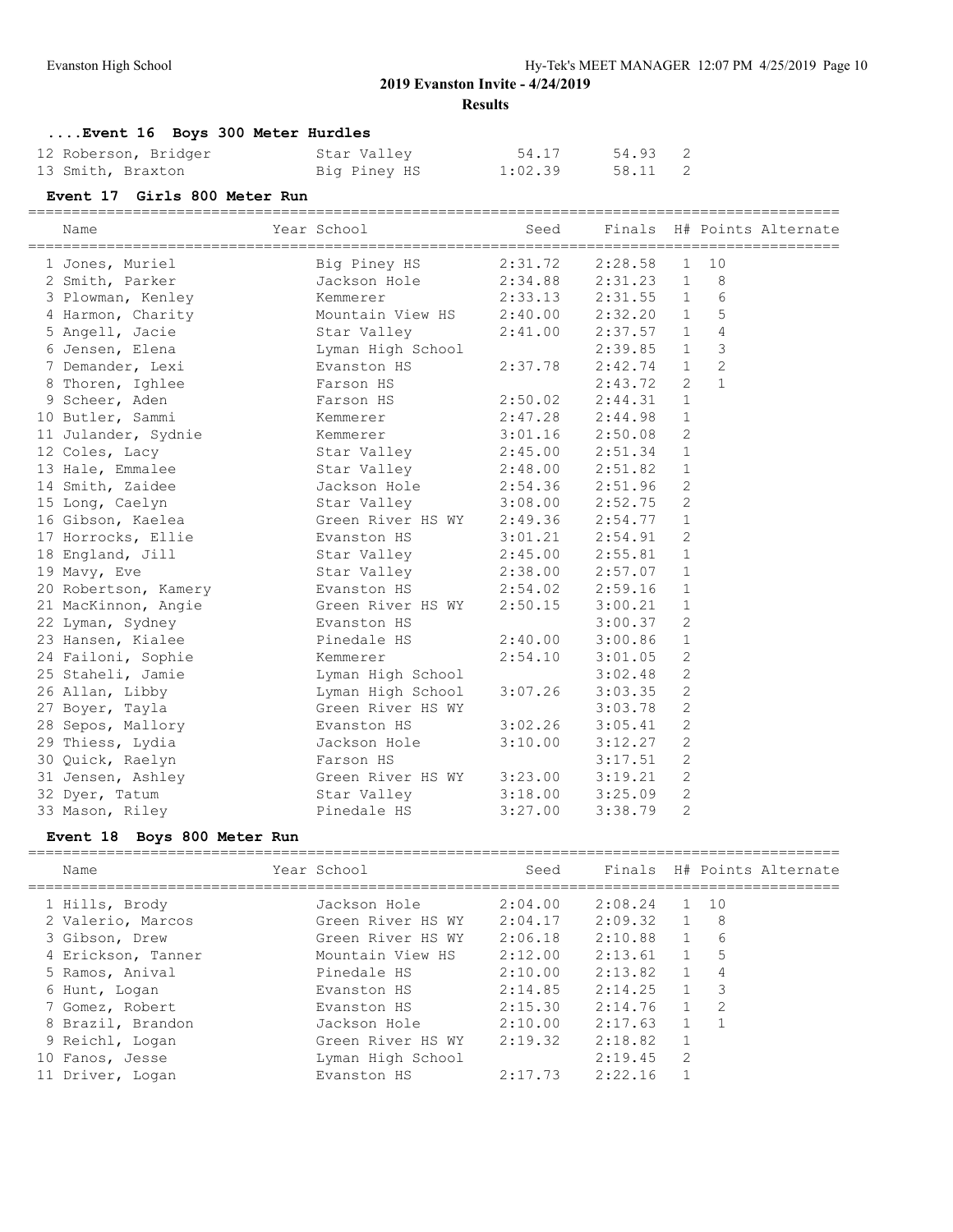### **....Event 16 Boys 300 Meter Hurdles**

| 12 Roberson, Bridger | Star Valley  | 54.17   | 54.93 2 |  |
|----------------------|--------------|---------|---------|--|
| 13 Smith, Braxton    | Big Piney HS | 1:02.39 | 58.11 2 |  |

#### **Event 17 Girls 800 Meter Run**

=============================================================================================

| Name                 | Year School       | Seed    |         |                |                | Finals H# Points Alternate |
|----------------------|-------------------|---------|---------|----------------|----------------|----------------------------|
| 1 Jones, Muriel      | Big Piney HS      | 2:31.72 | 2:28.58 | $\mathbf{1}$   | 10             |                            |
| 2 Smith, Parker      | Jackson Hole      | 2:34.88 | 2:31.23 | $\mathbf{1}$   | 8              |                            |
| 3 Plowman, Kenley    | Kemmerer          | 2:33.13 | 2:31.55 | $\mathbf{1}$   | 6              |                            |
| 4 Harmon, Charity    | Mountain View HS  | 2:40.00 | 2:32.20 | $\mathbf{1}$   | 5              |                            |
| 5 Angell, Jacie      | Star Valley       | 2:41.00 | 2:37.57 | $\mathbf{1}$   | $\overline{4}$ |                            |
| 6 Jensen, Elena      | Lyman High School |         | 2:39.85 | $\mathbf{1}$   | 3              |                            |
| 7 Demander, Lexi     | Evanston HS       | 2:37.78 | 2:42.74 | 1              | $\overline{2}$ |                            |
| 8 Thoren, Ighlee     | Farson HS         |         | 2:43.72 | 2              | $\mathbf{1}$   |                            |
| 9 Scheer, Aden       | Farson HS         | 2:50.02 | 2:44.31 | $\mathbf{1}$   |                |                            |
| 10 Butler, Sammi     | Kemmerer          | 2:47.28 | 2:44.98 | $\mathbf{1}$   |                |                            |
| 11 Julander, Sydnie  | Kemmerer          | 3:01.16 | 2:50.08 | $\mathbf{2}$   |                |                            |
| 12 Coles, Lacy       | Star Valley       | 2:45.00 | 2:51.34 | 1              |                |                            |
| 13 Hale, Emmalee     | Star Valley       | 2:48.00 | 2:51.82 | $\mathbf{1}$   |                |                            |
| 14 Smith, Zaidee     | Jackson Hole      | 2:54.36 | 2:51.96 | 2              |                |                            |
| 15 Long, Caelyn      | Star Valley       | 3:08.00 | 2:52.75 | 2              |                |                            |
| 16 Gibson, Kaelea    | Green River HS WY | 2:49.36 | 2:54.77 | 1              |                |                            |
| 17 Horrocks, Ellie   | Evanston HS       | 3:01.21 | 2:54.91 | 2              |                |                            |
| 18 England, Jill     | Star Valley       | 2:45.00 | 2:55.81 | $\mathbf{1}$   |                |                            |
| 19 Mavy, Eve         | Star Valley       | 2:38.00 | 2:57.07 | $\mathbf{1}$   |                |                            |
| 20 Robertson, Kamery | Evanston HS       | 2:54.02 | 2:59.16 | $\mathbf{1}$   |                |                            |
| 21 MacKinnon, Angie  | Green River HS WY | 2:50.15 | 3:00.21 | $\mathbf{1}$   |                |                            |
| 22 Lyman, Sydney     | Evanston HS       |         | 3:00.37 | 2              |                |                            |
| 23 Hansen, Kialee    | Pinedale HS       | 2:40.00 | 3:00.86 | $\mathbf{1}$   |                |                            |
| 24 Failoni, Sophie   | Kemmerer          | 2:54.10 | 3:01.05 | 2              |                |                            |
| 25 Staheli, Jamie    | Lyman High School |         | 3:02.48 | $\mathbf{2}$   |                |                            |
| 26 Allan, Libby      | Lyman High School | 3:07.26 | 3:03.35 | $\mathbf{2}$   |                |                            |
| 27 Boyer, Tayla      | Green River HS WY |         | 3:03.78 | 2              |                |                            |
| 28 Sepos, Mallory    | Evanston HS       | 3:02.26 | 3:05.41 | 2              |                |                            |
| 29 Thiess, Lydia     | Jackson Hole      | 3:10.00 | 3:12.27 | $\mathbf{2}$   |                |                            |
| 30 Quick, Raelyn     | Farson HS         |         | 3:17.51 | 2              |                |                            |
| 31 Jensen, Ashley    | Green River HS WY | 3:23.00 | 3:19.21 | 2              |                |                            |
| 32 Dyer, Tatum       | Star Valley       | 3:18.00 | 3:25.09 | 2              |                |                            |
| 33 Mason, Riley      | Pinedale HS       | 3:27.00 | 3:38.79 | $\overline{2}$ |                |                            |

# **Event 18 Boys 800 Meter Run**

| Name               | Year School       | Seed    | Finals  |              |      | H# Points Alternate |
|--------------------|-------------------|---------|---------|--------------|------|---------------------|
| 1 Hills, Brody     | Jackson Hole      | 2:04.00 | 2:08.24 |              | 1 10 |                     |
| 2 Valerio, Marcos  | Green River HS WY | 2:04.17 | 2:09.32 |              | -8   |                     |
| 3 Gibson, Drew     | Green River HS WY | 2:06.18 | 2:10.88 | $\mathbf{1}$ | 6    |                     |
| 4 Erickson, Tanner | Mountain View HS  | 2:12.00 | 2:13.61 |              | 5    |                     |
| 5 Ramos, Anival    | Pinedale HS       | 2:10.00 | 2:13.82 |              | 4    |                     |
| 6 Hunt, Logan      | Evanston HS       | 2:14.85 | 2:14.25 |              | 3    |                     |
| 7 Gomez, Robert    | Evanston HS       | 2:15.30 | 2:14.76 |              | 2    |                     |
| 8 Brazil, Brandon  | Jackson Hole      | 2:10.00 | 2:17.63 |              |      |                     |
| 9 Reichl, Logan    | Green River HS WY | 2:19.32 | 2:18.82 |              |      |                     |
| 10 Fanos, Jesse    | Lyman High School |         | 2:19.45 | -2           |      |                     |
| 11 Driver, Logan   | Evanston HS       | 2:17.73 | 2:22.16 |              |      |                     |
|                    |                   |         |         |              |      |                     |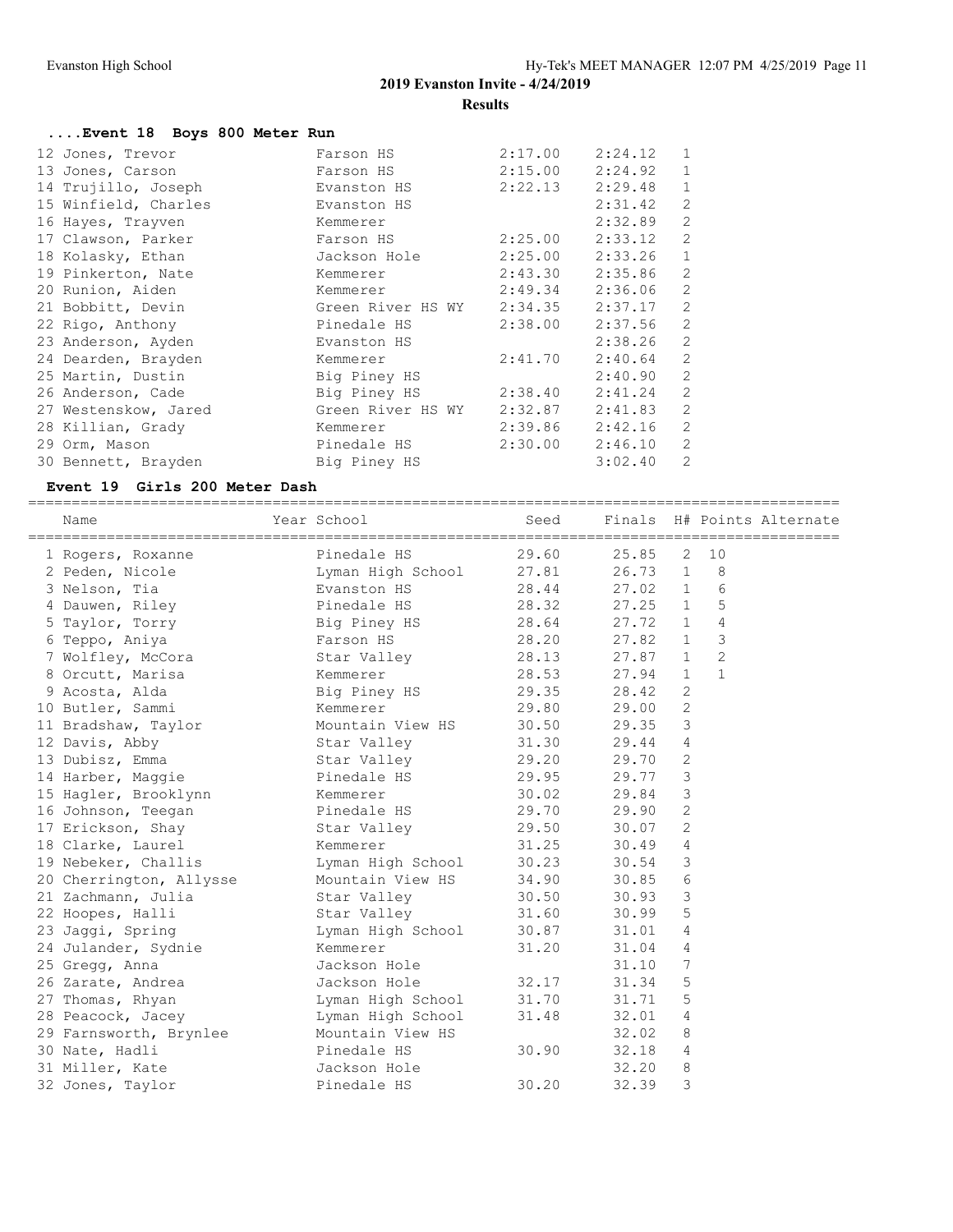| Event 18 Boys 800 Meter Run |                           |         |         |                |
|-----------------------------|---------------------------|---------|---------|----------------|
|                             |                           | 2:17.00 | 2:24.12 | $\mathbf{1}$   |
| 12 Jones, Trevor            | Farson HS                 |         |         |                |
| 13 Jones, Carson            | Farson HS                 | 2:15.00 | 2:24.92 | $\mathbf{1}$   |
| 14 Trujillo, Joseph         | Evanston HS               | 2:22.13 | 2:29.48 | $\mathbf{1}$   |
| 15 Winfield, Charles        | Evanston HS               |         | 2:31.42 | $\overline{c}$ |
| 16 Hayes, Trayven           | Kemmerer                  |         | 2:32.89 | $\overline{c}$ |
| 17 Clawson, Parker          | Farson HS                 | 2:25.00 | 2:33.12 | $\overline{2}$ |
| 18 Kolasky, Ethan           | Jackson Hole              | 2:25.00 | 2:33.26 | $\mathbf{1}$   |
| 19 Pinkerton, Nate          | Kemmerer                  | 2:43.30 | 2:35.86 | $\overline{c}$ |
| 20 Runion, Aiden            | Kemmerer                  | 2:49.34 | 2:36.06 | $\overline{c}$ |
| 21 Bobbitt, Devin           | Green River HS WY 2:34.35 |         | 2:37.17 | $\overline{c}$ |
| 22 Rigo, Anthony            | Pinedale HS               | 2:38.00 | 2:37.56 | $\overline{c}$ |
| 23 Anderson, Ayden          | Evanston HS               |         | 2:38.26 | $\overline{c}$ |
| 24 Dearden, Brayden         | Kemmerer                  | 2:41.70 | 2:40.64 | $\overline{c}$ |
| 25 Martin, Dustin           | Big Piney HS              |         | 2:40.90 | $\overline{c}$ |
| 26 Anderson, Cade           | Big Piney HS              | 2:38.40 | 2:41.24 | $\overline{2}$ |
| 27 Westenskow, Jared        | Green River HS WY 2:32.87 |         | 2:41.83 | $\overline{c}$ |
| 28 Killian, Grady           | Kemmerer                  | 2:39.86 | 2:42.16 | $\overline{c}$ |
| 29 Orm, Mason               | Pinedale HS               | 2:30.00 | 2:46.10 | $\overline{c}$ |
| 30 Bennett, Brayden         | Big Piney HS              |         | 3:02.40 | $\overline{2}$ |

### **Event 19 Girls 200 Meter Dash**

=============================================================================================

| Name                    | Year School       | Seed  |                 |                |                | Finals H# Points Alternate |
|-------------------------|-------------------|-------|-----------------|----------------|----------------|----------------------------|
| 1 Rogers, Roxanne       | Pinedale HS       | 29.60 | 25.85           | 2              | 10             |                            |
| 2 Peden, Nicole         | Lyman High School | 27.81 | 26.73           | $\mathbf{1}$   | 8              |                            |
| 3 Nelson, Tia           | Evanston HS       | 28.44 | $27.02$ 1       |                | 6              |                            |
| 4 Dauwen, Riley         | Pinedale HS       | 28.32 | 27.25           | $\overline{1}$ | 5              |                            |
| 5 Taylor, Torry         | Big Piney HS      | 28.64 | $27.72 \quad 1$ |                | $\overline{4}$ |                            |
| 6 Teppo, Aniya          | Farson HS         | 28.20 | 27.82 1         |                | 3              |                            |
| 7 Wolfley, McCora       | Star Valley       | 28.13 | 27.87           | $\mathbf{1}$   | $\overline{2}$ |                            |
| 8 Orcutt, Marisa        | Kemmerer          | 28.53 | 27.94           | $\mathbf{1}$   | $\mathbf{1}$   |                            |
| 9 Acosta, Alda          | Big Piney HS      | 29.35 | 28.42           | 2              |                |                            |
| 10 Butler, Sammi        | Kemmerer          | 29.80 | 29.00           | $\overline{2}$ |                |                            |
| 11 Bradshaw, Taylor     | Mountain View HS  | 30.50 | 29.35           | 3              |                |                            |
| 12 Davis, Abby          | Star Valley       | 31.30 | 29.44           | $\overline{4}$ |                |                            |
| 13 Dubisz, Emma         | Star Valley       | 29.20 | 29.70           | 2              |                |                            |
| 14 Harber, Maggie       | Pinedale HS       | 29.95 | 29.77           | $\mathcal{S}$  |                |                            |
| 15 Hagler, Brooklynn    | Kemmerer          | 30.02 | 29.84           | 3              |                |                            |
| 16 Johnson, Teegan      | Pinedale HS       | 29.70 | 29.90           | $\mathbf{2}$   |                |                            |
| 17 Erickson, Shay       | Star Valley       | 29.50 | 30.07           | 2              |                |                            |
| 18 Clarke, Laurel       | Kemmerer          | 31.25 | 30.49           | $\overline{4}$ |                |                            |
| 19 Nebeker, Challis     | Lyman High School | 30.23 | 30.54           | $\mathbf{3}$   |                |                            |
| 20 Cherrington, Allysse | Mountain View HS  | 34.90 | 30.85           | 6              |                |                            |
| 21 Zachmann, Julia      | Star Valley       | 30.50 | 30.93           | $\mathcal{S}$  |                |                            |
| 22 Hoopes, Halli        | Star Valley       | 31.60 | 30.99           | 5              |                |                            |
| 23 Jaggi, Spring        | Lyman High School | 30.87 | 31.01           | 4              |                |                            |
| 24 Julander, Sydnie     | Kemmerer          | 31.20 | 31.04           | 4              |                |                            |
| 25 Gregg, Anna          | Jackson Hole      |       | 31.10           | 7              |                |                            |
| 26 Zarate, Andrea       | Jackson Hole      | 32.17 | 31.34           | 5              |                |                            |
| 27 Thomas, Rhyan        | Lyman High School | 31.70 | 31.71           | 5              |                |                            |
| 28 Peacock, Jacey       | Lyman High School | 31.48 | 32.01           | 4              |                |                            |
| 29 Farnsworth, Brynlee  | Mountain View HS  |       | 32.02           | 8              |                |                            |
| 30 Nate, Hadli          | Pinedale HS       | 30.90 | 32.18           | $\overline{4}$ |                |                            |
| 31 Miller, Kate         | Jackson Hole      |       | 32.20           | 8              |                |                            |
| 32 Jones, Taylor        | Pinedale HS       | 30.20 | 32.39           | 3              |                |                            |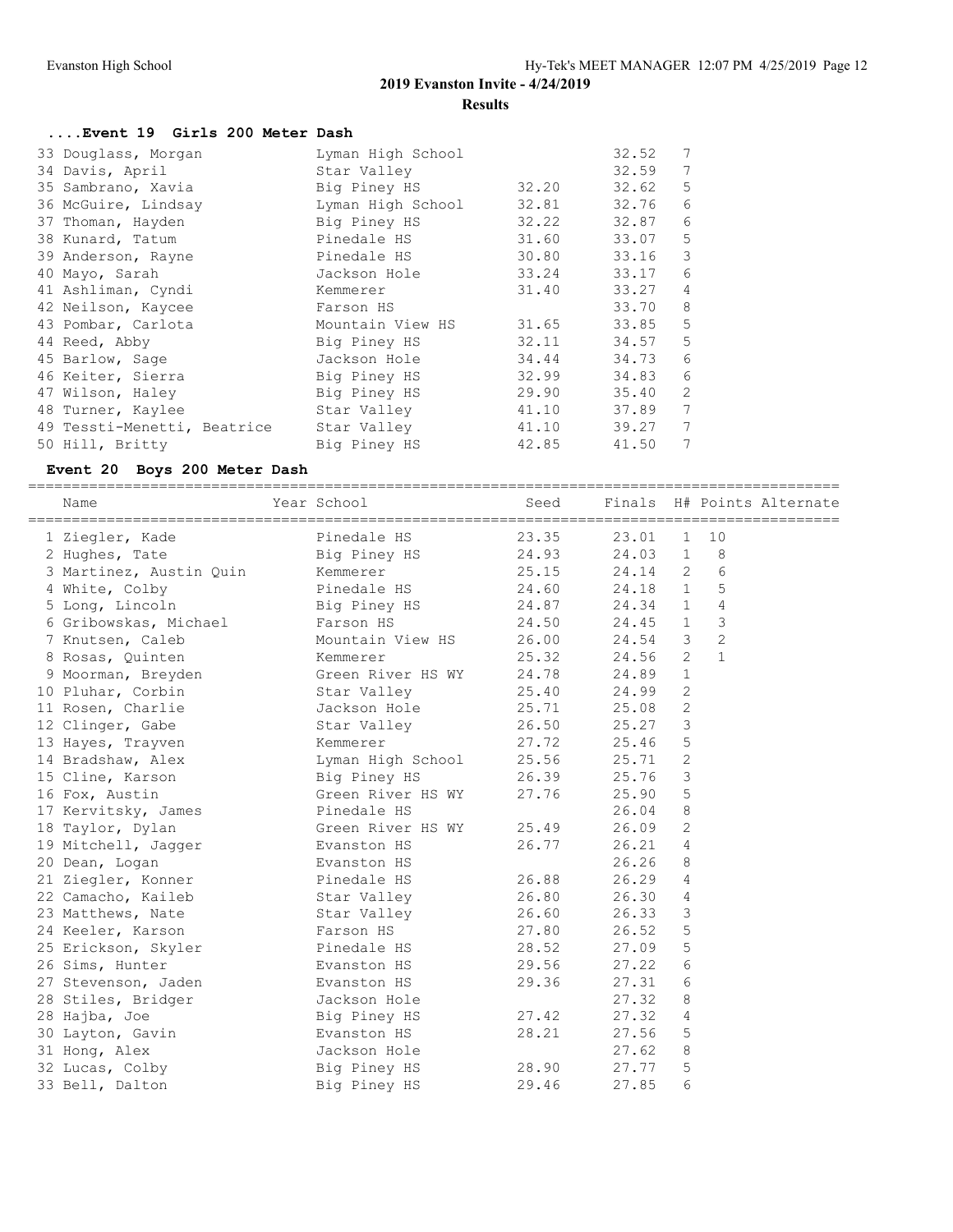#### **....Event 19 Girls 200 Meter Dash**

| 33 Douglass, Morgan         | Lyman High School |       | 32.52 | 7 |
|-----------------------------|-------------------|-------|-------|---|
| 34 Davis, April             | Star Valley       |       | 32.59 | 7 |
| 35 Sambrano, Xavia          | Big Piney HS      | 32.20 | 32.62 | 5 |
| 36 McGuire, Lindsay         | Lyman High School | 32.81 | 32.76 | 6 |
| 37 Thoman, Hayden           | Big Piney HS      | 32.22 | 32.87 | 6 |
| 38 Kunard, Tatum            | Pinedale HS       | 31.60 | 33.07 | 5 |
| 39 Anderson, Rayne          | Pinedale HS       | 30.80 | 33.16 | 3 |
| 40 Mayo, Sarah              | Jackson Hole      | 33.24 | 33.17 | 6 |
| 41 Ashliman, Cyndi          | Kemmerer          | 31.40 | 33.27 | 4 |
| 42 Neilson, Kaycee          | Farson HS         |       | 33.70 | 8 |
| 43 Pombar, Carlota          | Mountain View HS  | 31.65 | 33.85 | 5 |
| 44 Reed, Abby               | Big Piney HS      | 32.11 | 34.57 | 5 |
| 45 Barlow, Sage             | Jackson Hole      | 34.44 | 34.73 | 6 |
| 46 Keiter, Sierra           | Big Piney HS      | 32.99 | 34.83 | 6 |
| 47 Wilson, Haley            | Big Piney HS      | 29.90 | 35.40 | 2 |
| 48 Turner, Kaylee           | Star Valley       | 41.10 | 37.89 | 7 |
| 49 Tessti-Menetti, Beatrice | Star Valley       | 41.10 | 39.27 | 7 |
| 50 Hill, Britty             | Big Piney HS      | 42.85 | 41.50 | 7 |

#### **Event 20 Boys 200 Meter Dash**

============================================================================================= Name Year School Seed Finals H# Points Alternate ============================================================================================= 1 Ziegler, Kade Pinedale HS 23.35 23.01 1 10 2 Hughes, Tate Big Piney HS 24.93 24.03 1 8 3 Martinez, Austin Quin Kemmerer 25.15 24.14 2 6 4 White, Colby Pinedale HS 24.60 24.18 1 5 5 Long, Lincoln Big Piney HS 24.87 24.34 1 4 6 Gribowskas, Michael Farson HS 24.50 24.45 1 3 7 Knutsen, Caleb Mountain View HS 26.00 24.54 3 2 8 Rosas, Quinten Kemmerer 25.32 24.56 2 1 9 Moorman, Breyden Green River HS WY 24.78 24.89 1 10 Pluhar, Corbin Star Valley 25.40 24.99 2 11 Rosen, Charlie Jackson Hole 25.71 25.08 2 12 Clinger, Gabe Star Valley 26.50 25.27 3 13 Hayes, Trayven **Kemmerer** 27.72 25.46 5 14 Bradshaw, Alex Lyman High School 25.56 25.71 2 15 Cline, Karson Big Piney HS 26.39 25.76 3 16 Fox, Austin Green River HS WY 27.76 25.90 5 17 Kervitsky, James Pinedale HS 26.04 8 18 Taylor, Dylan Green River HS WY 25.49 26.09 2 19 Mitchell, Jagger Evanston HS 26.77 26.21 4 20 Dean, Logan Evanston HS 26.26 8 21 Ziegler, Konner Pinedale HS 26.88 26.29 4 22 Camacho, Kaileb Star Valley 26.80 26.30 4 23 Matthews, Nate  $26.60$  26.33 3 24 Keeler, Karson Farson HS 27.80 26.52 5 25 Erickson, Skyler Pinedale HS 28.52 27.09 5 26 Sims, Hunter Evanston HS 29.56 27.22 6 27 Stevenson, Jaden Evanston HS 29.36 27.31 6 28 Stiles, Bridger Jackson Hole 27.32 8 28 Hajba, Joe Big Piney HS 27.42 27.32 4 30 Layton, Gavin Evanston HS 28.21 27.56 5 31 Hong, Alex Jackson Hole 27.62 8 32 Lucas, Colby Big Piney HS 28.90 27.77 5 33 Bell, Dalton Big Piney HS 29.46 27.85 6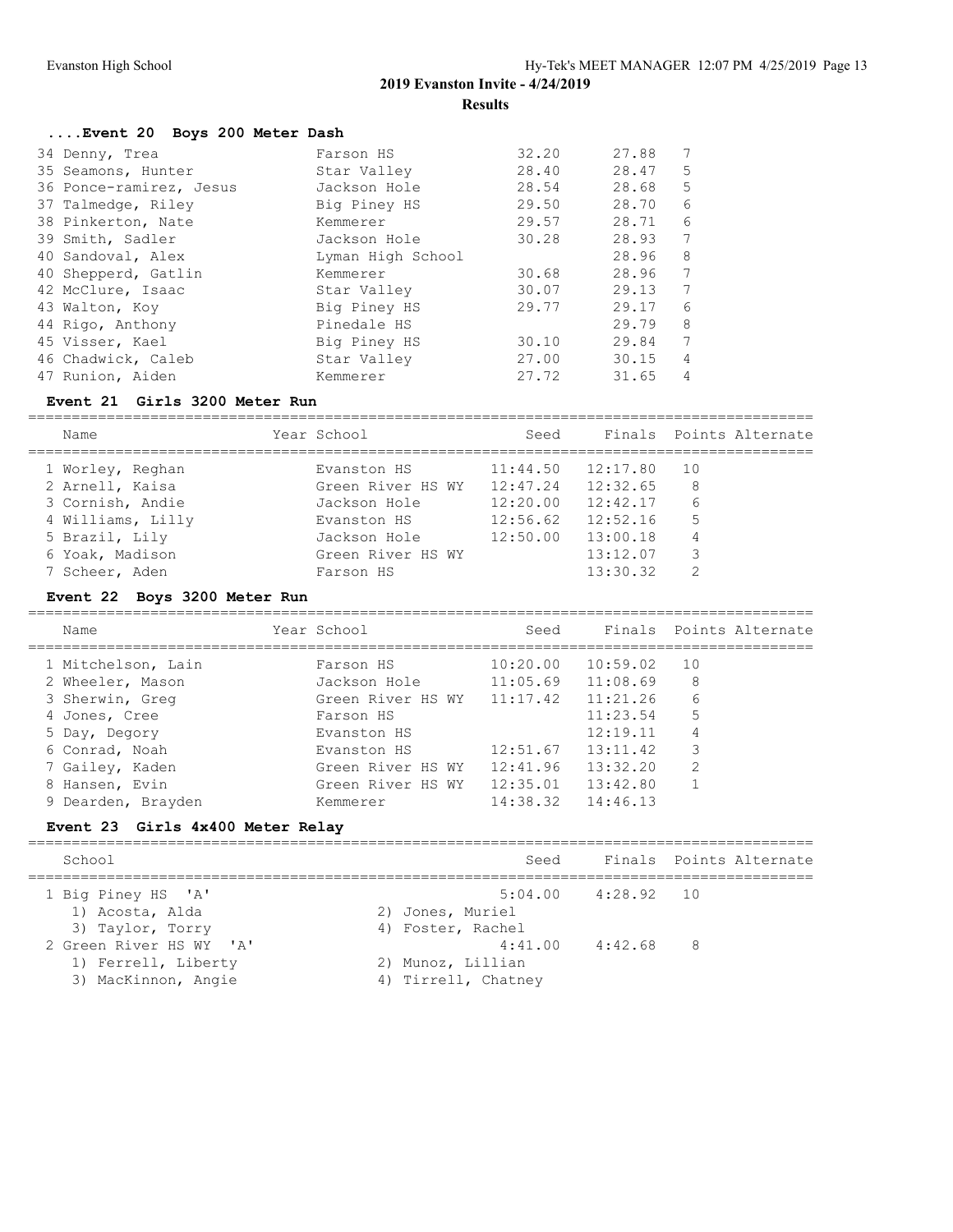#### **....Event 20 Boys 200 Meter Dash**

| 34 Denny, Trea          | Farson HS         | 32.20 | 27.88 | $7\phantom{.0}$ |
|-------------------------|-------------------|-------|-------|-----------------|
| 35 Seamons, Hunter      | Star Valley       | 28.40 | 28.47 | 5               |
| 36 Ponce-ramirez, Jesus | Jackson Hole      | 28.54 | 28.68 | 5               |
| 37 Talmedge, Riley      | Big Piney HS      | 29.50 | 28.70 | 6               |
| 38 Pinkerton, Nate      | Kemmerer          | 29.57 | 28.71 | 6               |
| 39 Smith, Sadler        | Jackson Hole      | 30.28 | 28.93 | 7               |
| 40 Sandoval, Alex       | Lyman High School |       | 28.96 | 8               |
| 40 Shepperd, Gatlin     | Kemmerer          | 30.68 | 28.96 | 7               |
| 42 McClure, Isaac       | Star Valley       | 30.07 | 29.13 | 7               |
| 43 Walton, Koy          | Big Piney HS      | 29.77 | 29.17 | 6               |
| 44 Rigo, Anthony        | Pinedale HS       |       | 29.79 | 8               |
| 45 Visser, Kael         | Big Piney HS      | 30.10 | 29.84 | 7               |
| 46 Chadwick, Caleb      | Star Valley       | 27.00 | 30.15 | 4               |
| 47 Runion, Aiden        | Kemmerer          | 27.72 | 31.65 | 4               |

#### **Event 21 Girls 3200 Meter Run**

========================================================================================== Name Year School Seed Finals Points Alternate ========================================================================================== 1 Worley, Reghan Evanston HS 11:44.50 12:17.80 10 2 Arnell, Kaisa Green River HS WY 12:47.24 12:32.65 8 3 Cornish, Andie Jackson Hole 12:20.00 12:42.17 6 4 Williams, Lilly Evanston HS 12:56.62 12:52.16 5 5 Brazil, Lily Jackson Hole 12:50.00 13:00.18 4 6 Yoak, Madison Green River HS WY 13:12.07 3 7 Scheer, Aden Farson HS 13:30.32 2

#### **Event 22 Boys 3200 Meter Run**

| Name               | Year School                | Seed     |                       | Finals Points Alternate |
|--------------------|----------------------------|----------|-----------------------|-------------------------|
| 1 Mitchelson, Lain | Farson HS                  | 10:20.00 | 10:59.02              | 10                      |
| 2 Wheeler, Mason   | Jackson Hole               |          | $11:05.69$ $11:08.69$ | 8                       |
| 3 Sherwin, Greg    | Green River HS WY 11:17.42 |          | 11:21.26              | 6                       |
| 4 Jones, Cree      | Farson HS                  |          | 11:23.54              | 5                       |
| 5 Day, Degory      | Evanston HS                |          | 12:19.11              | 4                       |
| 6 Conrad, Noah     | Evanston HS                | 12:51.67 | 13:11.42              | 3                       |
| 7 Gailey, Kaden    | Green River HS WY          | 12:41.96 | 13:32.20              | 2                       |
| 8 Hansen, Evin     | Green River HS WY          | 12:35.01 | 13:42.80              |                         |
| 9 Dearden, Brayden | Kemmerer                   | 14:38.32 | 14:46.13              |                         |
|                    |                            |          |                       |                         |

#### **Event 23 Girls 4x400 Meter Relay**

| School                                                                | Seed                                     |                        | Finals Points Alternate |
|-----------------------------------------------------------------------|------------------------------------------|------------------------|-------------------------|
| 1 Big Piney HS 'A'<br>1) Acosta, Alda<br>3) Taylor, Torry             | 2) Jones, Muriel<br>4) Foster, Rachel    | $5:04.00$ $4:28.92$ 10 |                         |
| 2 Green River HS WY 'A'<br>1) Ferrell, Liberty<br>3) MacKinnon, Angie | 2) Munoz, Lillian<br>4) Tirrell, Chatney | $4:41.00$ $4:42.68$    | 8 <sup>8</sup>          |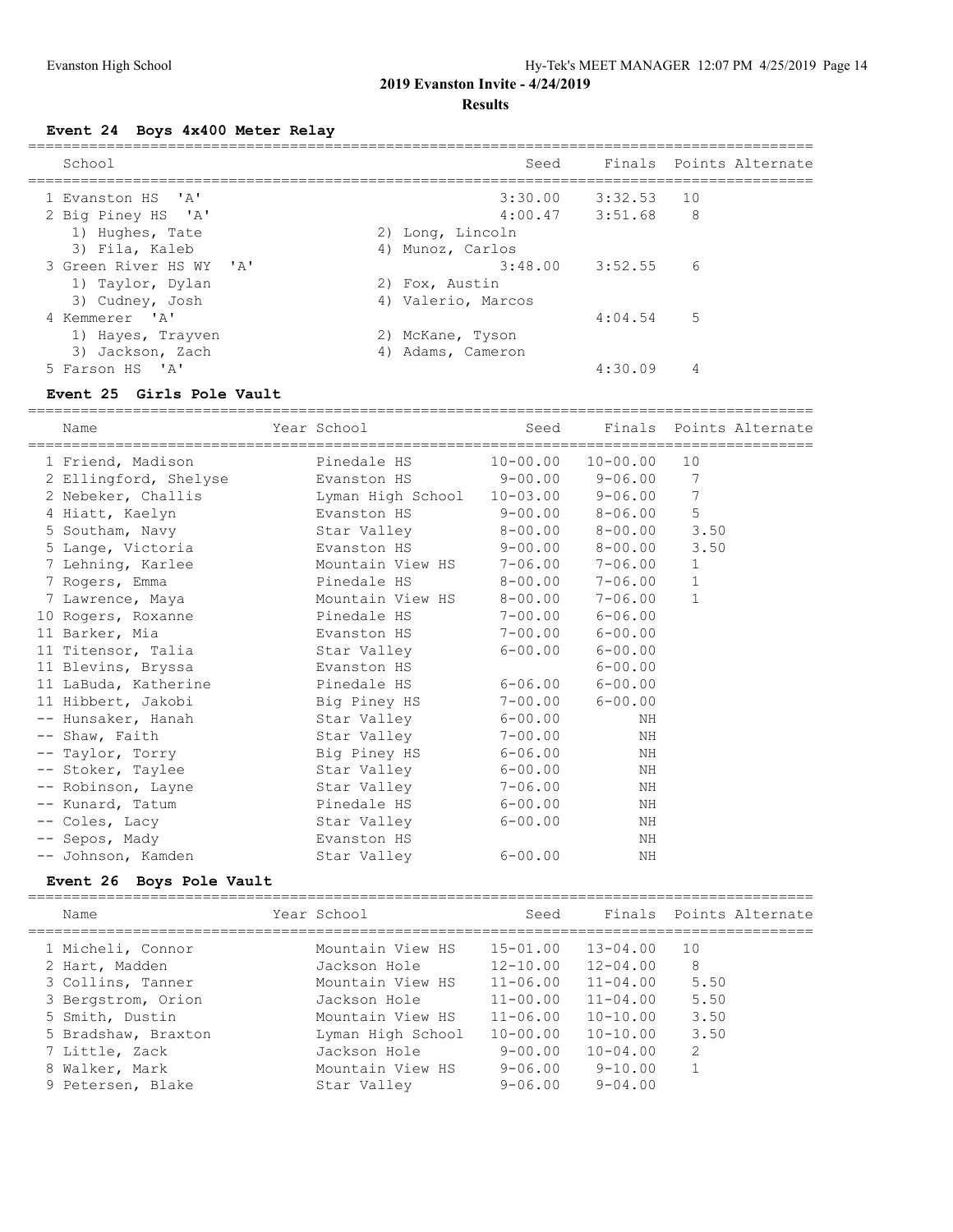**2019 Evanston Invite - 4/24/2019**

### **Results**

#### **Event 24 Boys 4x400 Meter Relay**

| School                  |    | Seed               |                     | Finals Points Alternate |
|-------------------------|----|--------------------|---------------------|-------------------------|
| 1 Evanston HS 'A'       |    | 3:30.00            | 3:32.53             | 10                      |
| 2 Big Piney HS 'A'      |    |                    | $4:00.47$ $3:51.68$ | 8                       |
| 1) Hughes, Tate         |    | 2) Long, Lincoln   |                     |                         |
| 3) Fila, Kaleb          |    | 4) Munoz, Carlos   |                     |                         |
| 3 Green River HS WY 'A' |    |                    | $3:48.00$ $3:52.55$ | 6                       |
| 1) Taylor, Dylan        |    | 2) Fox, Austin     |                     |                         |
| 3) Cudney, Josh         |    | 4) Valerio, Marcos |                     |                         |
| 4 Kemmerer 'A'          |    |                    | 4:04.54             | 5                       |
| 1) Hayes, Trayven       |    | 2) McKane, Tyson   |                     |                         |
| 3) Jackson, Zach        | 4) | Adams, Cameron     |                     |                         |
| 5 Farson HS 'A'         |    |                    | 4:30.09             | 4                       |
|                         |    |                    |                     |                         |

### **Event 25 Girls Pole Vault**

========================================================================================== Name Year School Seed Finals Points Alternate ========================================================================================== 1 Friend, Madison Pinedale HS 10-00.00 10-00.00 10 2 Ellingford, Shelyse Evanston HS 9-00.00 9-06.00 7 2 Nebeker, Challis Lyman High School 10-03.00 9-06.00 7 4 Hiatt, Kaelyn Evanston HS 9-00.00 8-06.00 5 5 Southam, Navy Star Valley 8-00.00 8-00.00 3.50 5 Lange, Victoria Evanston HS 9-00.00 8-00.00 3.50 7 Lehning, Karlee Mountain View HS 7-06.00 7-06.00 1 7 Rogers, Emma Pinedale HS 8-00.00 7-06.00 1 7 Lawrence, Maya Mountain View HS 8-00.00 7-06.00 1 10 Rogers, Roxanne Pinedale HS 7-00.00 6-06.00 11 Barker, Mia Evanston HS 7-00.00 6-00.00 11 Titensor, Talia Star Valley 6-00.00 6-00.00 11 Blevins, Bryssa Evanston HS 6-00.00 11 LaBuda, Katherine Pinedale HS 6-06.00 6-00.00 11 Hibbert, Jakobi Big Piney HS 7-00.00 6-00.00 -- Hunsaker, Hanah Star Valley 6-00.00 NH -- Shaw, Faith  $\begin{array}{ccc} \texttt{Star Valley} & \texttt{7-00.00} & \texttt{NH} \end{array}$  -- Taylor, Torry Big Piney HS 6-06.00 NH -- Stoker, Taylee Star Valley 6-00.00 NH -- Robinson, Layne Star Valley 7-06.00 NH -- Kunard, Tatum Pinedale HS 6-00.00 NH -- Coles, Lacy 6-00.00 NH -- Sepos, Mady Evanston HS NH -- Johnson, Kamden Star Valley 6-00.00 NH

#### **Event 26 Boys Pole Vault**

| Name                | Year School  |                   | Seed         |              |      | Finals Points Alternate |
|---------------------|--------------|-------------------|--------------|--------------|------|-------------------------|
| 1 Micheli, Connor   |              | Mountain View HS  | $15 - 01.00$ | $13 - 04.00$ | 10   |                         |
| 2 Hart, Madden      | Jackson Hole |                   | $12 - 10.00$ | $12 - 04.00$ | 8    |                         |
| 3 Collins, Tanner   |              | Mountain View HS  | $11 - 06.00$ | $11 - 04.00$ | 5.50 |                         |
| 3 Bergstrom, Orion  | Jackson Hole |                   | $11 - 00.00$ | $11 - 04.00$ | 5.50 |                         |
| 5 Smith, Dustin     |              | Mountain View HS  | $11 - 06.00$ | $10 - 10.00$ | 3.50 |                         |
| 5 Bradshaw, Braxton |              | Lyman High School | $10 - 00.00$ | $10 - 10.00$ | 3.50 |                         |
| 7 Little, Zack      | Jackson Hole |                   | $9 - 00.00$  | $10 - 04.00$ | 2    |                         |
| 8 Walker, Mark      |              | Mountain View HS  | $9 - 06.00$  | $9 - 10.00$  |      |                         |
| 9 Petersen, Blake   | Star Valley  |                   | $9 - 06.00$  | $9 - 04.00$  |      |                         |
|                     |              |                   |              |              |      |                         |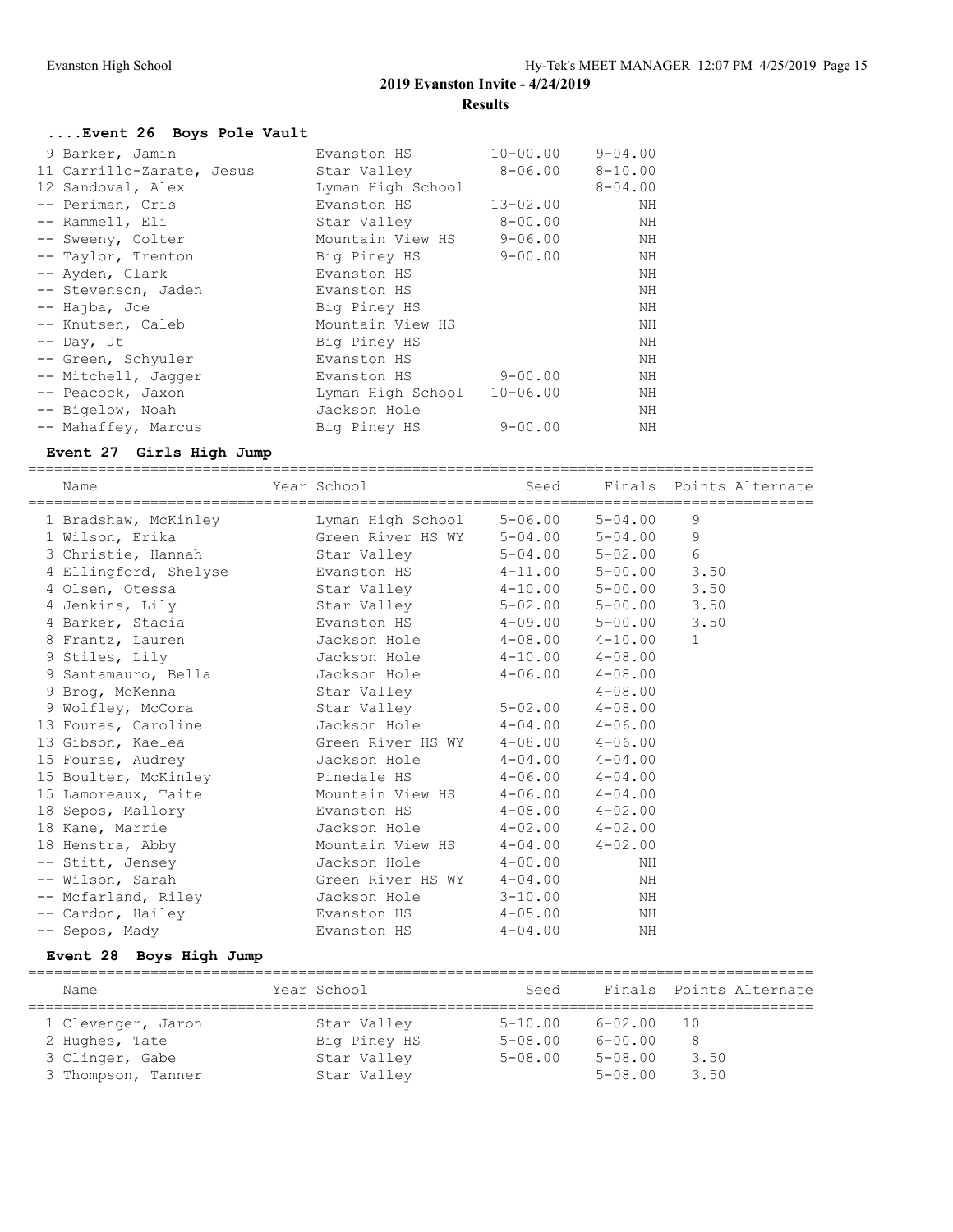### **....Event 26 Boys Pole Vault**

| 9 Barker, Jamin           | Evanston HS       | $10 - 00.00$ | $9 - 04.00$ |
|---------------------------|-------------------|--------------|-------------|
| 11 Carrillo-Zarate, Jesus | Star Valley       | $8 - 06.00$  | $8 - 10.00$ |
| 12 Sandoval, Alex         | Lyman High School |              | $8 - 04.00$ |
| -- Periman, Cris          | Evanston HS       | $13 - 02.00$ | ΝH          |
| -- Rammell, Eli           | Star Valley       | $8 - 00.00$  | ΝH          |
| -- Sweeny, Colter         | Mountain View HS  | $9 - 06.00$  | ΝH          |
| -- Taylor, Trenton        | Big Piney HS      | $9 - 00.00$  | ΝH          |
| -- Ayden, Clark           | Evanston HS       |              | NH          |
| -- Stevenson, Jaden       | Evanston HS       |              | NH          |
| -- Hajba, Joe             | Big Piney HS      |              | NH          |
| -- Knutsen, Caleb         | Mountain View HS  |              | NH          |
| $--$ Day, Jt              | Big Piney HS      |              | ΝH          |
| -- Green, Schyuler        | Evanston HS       |              | ΝH          |
| -- Mitchell, Jaqqer       | Evanston HS       | $9 - 00.00$  | NH          |
| -- Peacock, Jaxon         | Lyman High School | $10 - 06.00$ | NH          |
| -- Bigelow, Noah          | Jackson Hole      |              | NH          |
| -- Mahaffey, Marcus       | Big Piney HS      | $9 - 00.00$  | NH          |

# **Event 27 Girls High Jump**

========================================================================================== Seed Finals Points Alternate

| Name                 | Year School                                                                | Seed        |             |              | Finals Points Alternate |
|----------------------|----------------------------------------------------------------------------|-------------|-------------|--------------|-------------------------|
|                      | 1 Bradshaw, McKinley  Lyman High School 5-06.00                            |             | $5 - 04.00$ | 9            |                         |
|                      | 1 Wilson, Erika                       Green River HS WY     5-04.00        |             | $5 - 04.00$ | 9            |                         |
|                      | 3 Christie, Hannah                       Star Valley               5-04.00 |             | $5 - 02.00$ | 6            |                         |
|                      | 4 Ellingford, Shelyse         Evanston HS         4-11.00                  |             | $5 - 00.00$ | 3.50         |                         |
| 4 Olsen, Otessa      | Star Valley $4-10.00$                                                      |             | $5 - 00.00$ | 3.50         |                         |
| 4 Jenkins, Lily      | Star Valley                                                                | $5 - 02.00$ | $5 - 00.00$ | 3.50         |                         |
| 4 Barker, Stacia     | Evanston HS  4-09.00                                                       |             | $5 - 00.00$ | 3.50         |                         |
| 8 Frantz, Lauren     |                                                                            |             |             | $\mathbf{1}$ |                         |
| 9 Stiles, Lily       | Jackson Hole $4-10.00$ $4-08.00$                                           |             |             |              |                         |
|                      | 9 Santamauro, Bella     Jackson Hole     4-06.00   4-08.00                 |             |             |              |                         |
| 9 Brog, McKenna      | Star Valley                                                                |             | $4 - 08.00$ |              |                         |
| 9 Wolfley, McCora    | Star Valley 5-02.00 4-08.00                                                |             |             |              |                         |
|                      | 13 Fouras, Caroline 5 Jackson Hole 4-04.00 4-06.00                         |             |             |              |                         |
| 13 Gibson, Kaelea    |                                                                            |             |             |              |                         |
| 15 Fouras, Audrey    | Jackson Hole $4-04.00$ $4-04.00$                                           |             |             |              |                         |
| 15 Boulter, McKinley | Pinedale HS   4-06.00   4-04.00                                            |             |             |              |                         |
|                      | 15 Lamoreaux, Taite Mountain View HS 4-06.00 4-04.00                       |             |             |              |                         |
| 18 Sepos, Mallory    | Evanston HS   4-08.00   4-02.00                                            |             |             |              |                         |
| 18 Kane, Marrie      | Jackson Hole $4-02.00$ $4-02.00$                                           |             |             |              |                         |
| 18 Henstra, Abby     | Mountain View HS  4-04.00  4-02.00                                         |             |             |              |                         |
| -- Stitt, Jensey     | Jackson Hole 4-00.00                                                       |             | ΝH          |              |                         |
| -- Wilson, Sarah     | Green River HS WY 4-04.00                                                  |             | ΝH          |              |                         |
|                      | -- Mcfarland, Riley         Jackson Hole         3-10.00                   |             | ΝH          |              |                         |
| -- Cardon, Hailey    | Evanston HS                                                                | $4 - 05.00$ | ΝH          |              |                         |
| -- Sepos, Mady       | Evanston HS 4-04.00                                                        |             | ΝH          |              |                         |
|                      |                                                                            |             |             |              |                         |

### **Event 28 Boys High Jump**

| Name               | Year School  | Seed        |             | Finals Points Alternate |
|--------------------|--------------|-------------|-------------|-------------------------|
| 1 Clevenger, Jaron | Star Valley  | $5 - 10.00$ | 6-02.00     | 10                      |
| 2 Hughes, Tate     | Big Piney HS | $5 - 08.00$ | $6 - 00.00$ | 8                       |
| 3 Clinger, Gabe    | Star Valley  | $5 - 08.00$ | $5 - 08.00$ | 3.50                    |
| 3 Thompson, Tanner | Star Valley  |             | $5 - 08.00$ | 3.50                    |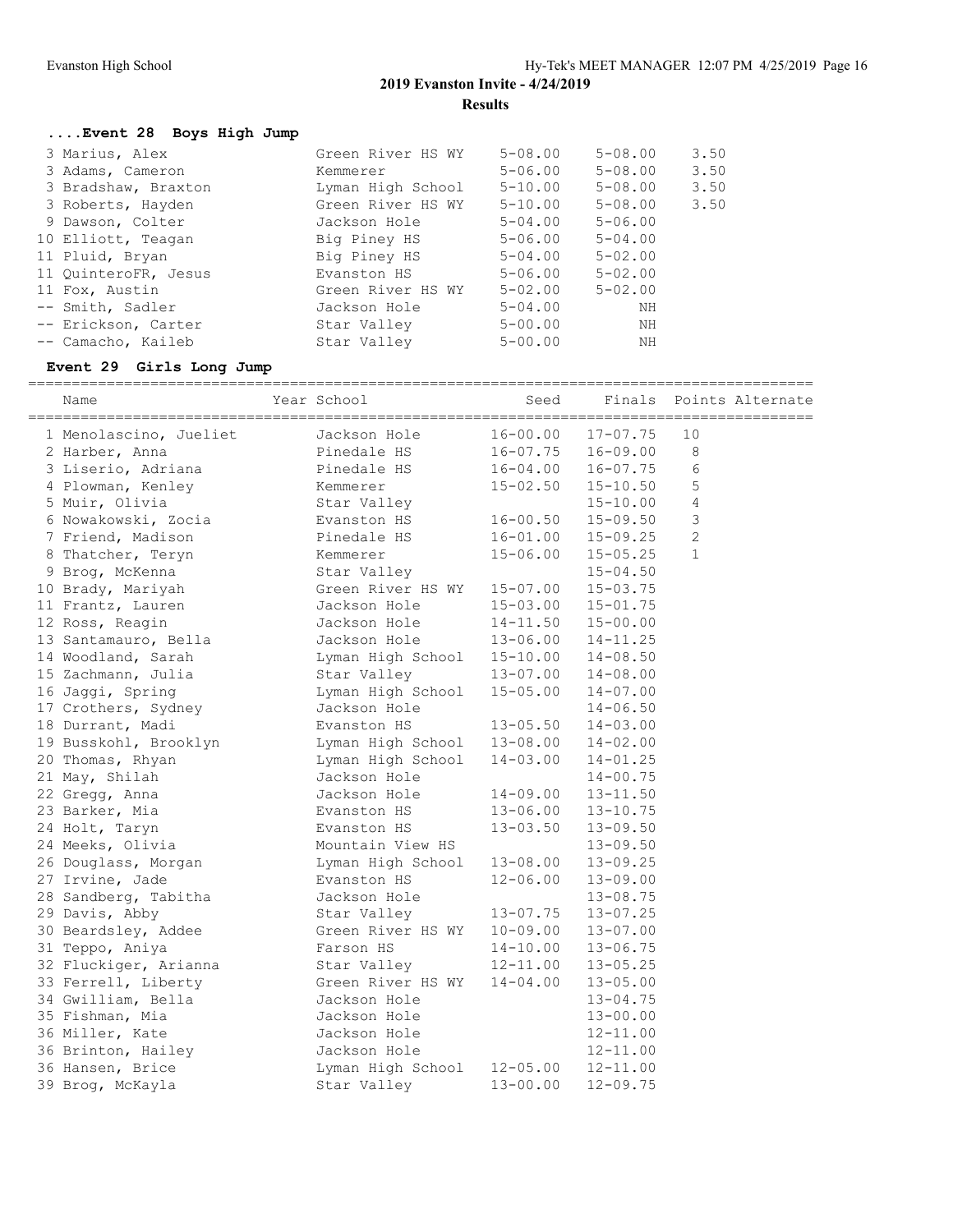| Event 28 Boys High Jump |                   |             |             |      |
|-------------------------|-------------------|-------------|-------------|------|
| 3 Marius, Alex          | Green River HS WY | $5 - 08.00$ | $5 - 08.00$ | 3.50 |
| 3 Adams, Cameron        | Kemmerer          | 5-06.00     | $5 - 08.00$ | 3.50 |
| 3 Bradshaw, Braxton     | Lyman High School | $5 - 10.00$ | $5 - 08.00$ | 3.50 |
| 3 Roberts, Hayden       | Green River HS WY | $5 - 10.00$ | $5 - 08.00$ | 3.50 |
| 9 Dawson, Colter        | Jackson Hole      | $5 - 04.00$ | $5 - 06.00$ |      |
| 10 Elliott, Teagan      | Big Piney HS      | $5 - 06.00$ | $5 - 04.00$ |      |
| 11 Pluid, Bryan         | Big Piney HS      | $5 - 04.00$ | $5 - 02.00$ |      |
| 11 OuinteroFR, Jesus    | Evanston HS       | $5 - 06.00$ | $5 - 02.00$ |      |
| 11 Fox, Austin          | Green River HS WY | $5 - 02.00$ | $5 - 02.00$ |      |
| -- Smith, Sadler        | Jackson Hole      | $5 - 04.00$ | ΝH          |      |
| -- Erickson, Carter     | Star Valley       | $5 - 00.00$ | ΝH          |      |
| -- Camacho, Kaileb      | Star Valley       | $5 - 00.00$ | ΝH          |      |
|                         |                   |             |             |      |

## **Event 29 Girls Long Jump**

| Name                   | Year School       | Seed         | Finals                    | Points Alternate |
|------------------------|-------------------|--------------|---------------------------|------------------|
| 1 Menolascino, Jueliet | Jackson Hole      | $16 - 00.00$ | $17 - 07.75$              | 10               |
| 2 Harber, Anna         | Pinedale HS       |              | $16 - 07.75$ $16 - 09.00$ | 8                |
| 3 Liserio, Adriana     | Pinedale HS       | $16 - 04.00$ | 16-07.75                  | 6                |
| 4 Plowman, Kenley      | Kemmerer          | $15 - 02.50$ | $15 - 10.50$              | 5                |
| 5 Muir, Olivia         | Star Valley       |              | $15 - 10.00$              | 4                |
| 6 Nowakowski, Zocia    | Evanston HS       | $16 - 00.50$ | 15-09.50                  | 3                |
| 7 Friend, Madison      | Pinedale HS       | $16 - 01.00$ | $15 - 09.25$              | $\overline{2}$   |
| 8 Thatcher, Teryn      | Kemmerer          | $15 - 06.00$ | $15 - 05.25$              | $\mathbf{1}$     |
| 9 Brog, McKenna        | Star Valley       |              | $15 - 04.50$              |                  |
| 10 Brady, Mariyah      | Green River HS WY | $15 - 07.00$ | $15 - 03.75$              |                  |
| 11 Frantz, Lauren      | Jackson Hole      | $15 - 03.00$ | $15 - 01.75$              |                  |
| 12 Ross, Reagin        | Jackson Hole      | 14-11.50     | $15 - 00.00$              |                  |
| 13 Santamauro, Bella   | Jackson Hole      | 13-06.00     | $14 - 11.25$              |                  |
| 14 Woodland, Sarah     | Lyman High School | $15 - 10.00$ | $14 - 08.50$              |                  |
| 15 Zachmann, Julia     | Star Valley       | $13 - 07.00$ | $14 - 08.00$              |                  |
| 16 Jaggi, Spring       | Lyman High School | $15 - 05.00$ | $14 - 07.00$              |                  |
| 17 Crothers, Sydney    | Jackson Hole      |              | $14 - 06.50$              |                  |
| 18 Durrant, Madi       | Evanston HS       | $13 - 05.50$ | $14 - 03.00$              |                  |
| 19 Busskohl, Brooklyn  | Lyman High School | 13-08.00     | $14 - 02.00$              |                  |
| 20 Thomas, Rhyan       | Lyman High School | $14 - 03.00$ | $14 - 01.25$              |                  |
| 21 May, Shilah         | Jackson Hole      |              | $14 - 00.75$              |                  |
| 22 Gregg, Anna         | Jackson Hole      | $14 - 09.00$ | $13 - 11.50$              |                  |
| 23 Barker, Mia         | Evanston HS       | $13 - 06.00$ | $13 - 10.75$              |                  |
| 24 Holt, Taryn         | Evanston HS       | $13 - 03.50$ | $13 - 09.50$              |                  |
| 24 Meeks, Olivia       | Mountain View HS  |              | $13 - 09.50$              |                  |
| 26 Douglass, Morgan    | Lyman High School | 13-08.00     | $13 - 09.25$              |                  |
| 27 Irvine, Jade        | Evanston HS       | $12 - 06.00$ | $13 - 09.00$              |                  |
| 28 Sandberg, Tabitha   | Jackson Hole      |              | $13 - 08.75$              |                  |
| 29 Davis, Abby         | Star Valley       | $13 - 07.75$ | $13 - 07.25$              |                  |
| 30 Beardsley, Addee    | Green River HS WY | $10 - 09.00$ | $13 - 07.00$              |                  |
| 31 Teppo, Aniya        | Farson HS         | $14 - 10.00$ | $13 - 06.75$              |                  |
| 32 Fluckiger, Arianna  | Star Valley       | 12-11.00     | $13 - 05.25$              |                  |
| 33 Ferrell, Liberty    | Green River HS WY | $14 - 04.00$ | $13 - 05.00$              |                  |
| 34 Gwilliam, Bella     | Jackson Hole      |              | $13 - 04.75$              |                  |
| 35 Fishman, Mia        | Jackson Hole      |              | $13 - 00.00$              |                  |
| 36 Miller, Kate        | Jackson Hole      |              | $12 - 11.00$              |                  |
| 36 Brinton, Hailey     | Jackson Hole      |              | $12 - 11.00$              |                  |
| 36 Hansen, Brice       | Lyman High School | $12 - 05.00$ | $12 - 11.00$              |                  |
| 39 Brog, McKayla       | Star Valley       | $13 - 00.00$ | $12 - 09.75$              |                  |
|                        |                   |              |                           |                  |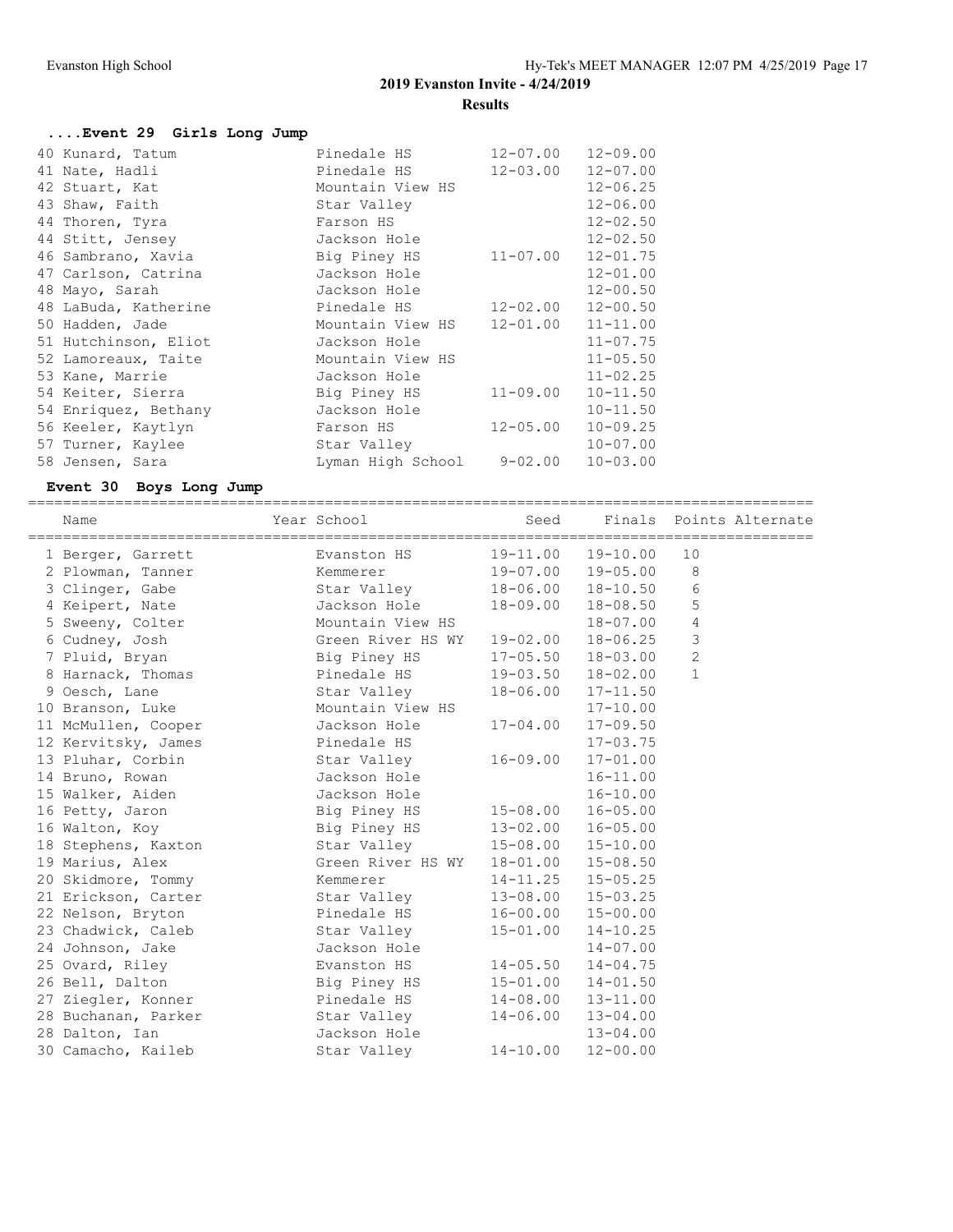| Event 29 Girls Long Jump |                           |              |              |
|--------------------------|---------------------------|--------------|--------------|
| 40 Kunard, Tatum         | Pinedale HS               | 12-07.00     | $12 - 09.00$ |
| 41 Nate, Hadli           | Pinedale HS               | $12 - 03.00$ | $12 - 07.00$ |
| 42 Stuart, Kat           | Mountain View HS          |              | $12 - 06.25$ |
| 43 Shaw, Faith           | Star Valley               |              | $12 - 06.00$ |
| 44 Thoren, Tyra          | Farson HS                 |              | $12 - 02.50$ |
| 44 Stitt, Jensey         | Jackson Hole              |              | $12 - 02.50$ |
| 46 Sambrano, Xavia       | Big Piney HS              | $11 - 07.00$ | $12 - 01.75$ |
| 47 Carlson, Catrina      | Jackson Hole              |              | $12 - 01.00$ |
| 48 Mayo, Sarah           | Jackson Hole              |              | $12 - 00.50$ |
| 48 LaBuda, Katherine     | Pinedale HS               | 12-02.00     | $12 - 00.50$ |
| 50 Hadden, Jade          | Mountain View HS          | $12 - 01.00$ | $11 - 11.00$ |
| 51 Hutchinson, Eliot     | Jackson Hole              |              | $11 - 07.75$ |
| 52 Lamoreaux, Taite      | Mountain View HS          |              | $11 - 05.50$ |
| 53 Kane, Marrie          | Jackson Hole              |              | $11 - 02.25$ |
| 54 Keiter, Sierra        | Big Piney HS              | $11 - 09.00$ | $10 - 11.50$ |
| 54 Enriquez, Bethany     | Jackson Hole              |              | $10 - 11.50$ |
| 56 Keeler, Kaytlyn       | Farson HS                 | $12 - 05.00$ | $10 - 09.25$ |
| 57 Turner, Kaylee        | Star Valley               |              | $10 - 07.00$ |
| 58 Jensen, Sara          | Lyman High School 9-02.00 |              | $10 - 03.00$ |

# **Event 30 Boys Long Jump**

| Year School<br>Name |                   |                           | Seed Finals Points Alternate |                |  |
|---------------------|-------------------|---------------------------|------------------------------|----------------|--|
| 1 Berger, Garrett   | Evanston HS       |                           | 19-11.00 19-10.00            | 10             |  |
| 2 Plowman, Tanner   | Kemmerer          |                           | 19-07.00 19-05.00            | 8              |  |
| 3 Clinger, Gabe     | Star Valley       |                           | $18 - 06.00$ $18 - 10.50$    | 6              |  |
| 4 Keipert, Nate     | Jackson Hole      |                           | $18 - 09.00$ $18 - 08.50$    | 5              |  |
| 5 Sweeny, Colter    | Mountain View HS  |                           | 18-07.00                     | 4              |  |
| 6 Cudney, Josh      | Green River HS WY |                           | 19-02.00 18-06.25            | $\mathfrak{Z}$ |  |
| 7 Pluid, Bryan      | Big Piney HS      |                           | $17 - 05.50$ $18 - 03.00$    | $\overline{c}$ |  |
| 8 Harnack, Thomas   | Pinedale HS       |                           | $19-03.50$ $18-02.00$        | $\mathbf{1}$   |  |
| 9 Oesch, Lane       | Star Valley       | $18 - 06.00$ $17 - 11.50$ |                              |                |  |
| 10 Branson, Luke    | Mountain View HS  |                           | $17 - 10.00$                 |                |  |
| 11 McMullen, Cooper | Jackson Hole      | $17 - 04.00$              | $17 - 09.50$                 |                |  |
| 12 Kervitsky, James | Pinedale HS       |                           | $17 - 03.75$                 |                |  |
| 13 Pluhar, Corbin   | Star Valley       | 16-09.00                  | $17 - 01.00$                 |                |  |
| 14 Bruno, Rowan     | Jackson Hole      |                           | $16 - 11.00$                 |                |  |
| 15 Walker, Aiden    | Jackson Hole      |                           | $16 - 10.00$                 |                |  |
| 16 Petty, Jaron     | Big Piney HS      | 15-08.00 16-05.00         |                              |                |  |
| 16 Walton, Koy      | Big Piney HS      | $13 - 02.00$ $16 - 05.00$ |                              |                |  |
| 18 Stephens, Kaxton | Star Valley       | $15 - 08.00$ $15 - 10.00$ |                              |                |  |
| 19 Marius, Alex     | Green River HS WY | 18-01.00 15-08.50         |                              |                |  |
| 20 Skidmore, Tommy  | Kemmerer          | $14-11.25$ $15-05.25$     |                              |                |  |
| 21 Erickson, Carter | Star Valley       | $13 - 08.00$ $15 - 03.25$ |                              |                |  |
| 22 Nelson, Bryton   | Pinedale HS       | $16 - 00.00$ $15 - 00.00$ |                              |                |  |
| 23 Chadwick, Caleb  | Star Valley       | $15 - 01.00$              | $14 - 10.25$                 |                |  |
| 24 Johnson, Jake    | Jackson Hole      |                           | $14 - 07.00$                 |                |  |
| 25 Ovard, Riley     | Evanston HS       | $14 - 05.50$              | $14 - 04.75$                 |                |  |
| 26 Bell, Dalton     | Big Piney HS      | $15 - 01.00$ $14 - 01.50$ |                              |                |  |
| 27 Ziegler, Konner  | Pinedale HS       | $14 - 08.00$ $13 - 11.00$ |                              |                |  |
| 28 Buchanan, Parker | Star Valley       | $14 - 06.00$ $13 - 04.00$ |                              |                |  |
| 28 Dalton, Ian      | Jackson Hole      |                           | $13 - 04.00$                 |                |  |
| 30 Camacho, Kaileb  | Star Valley       | $14 - 10.00$              | $12 - 00.00$                 |                |  |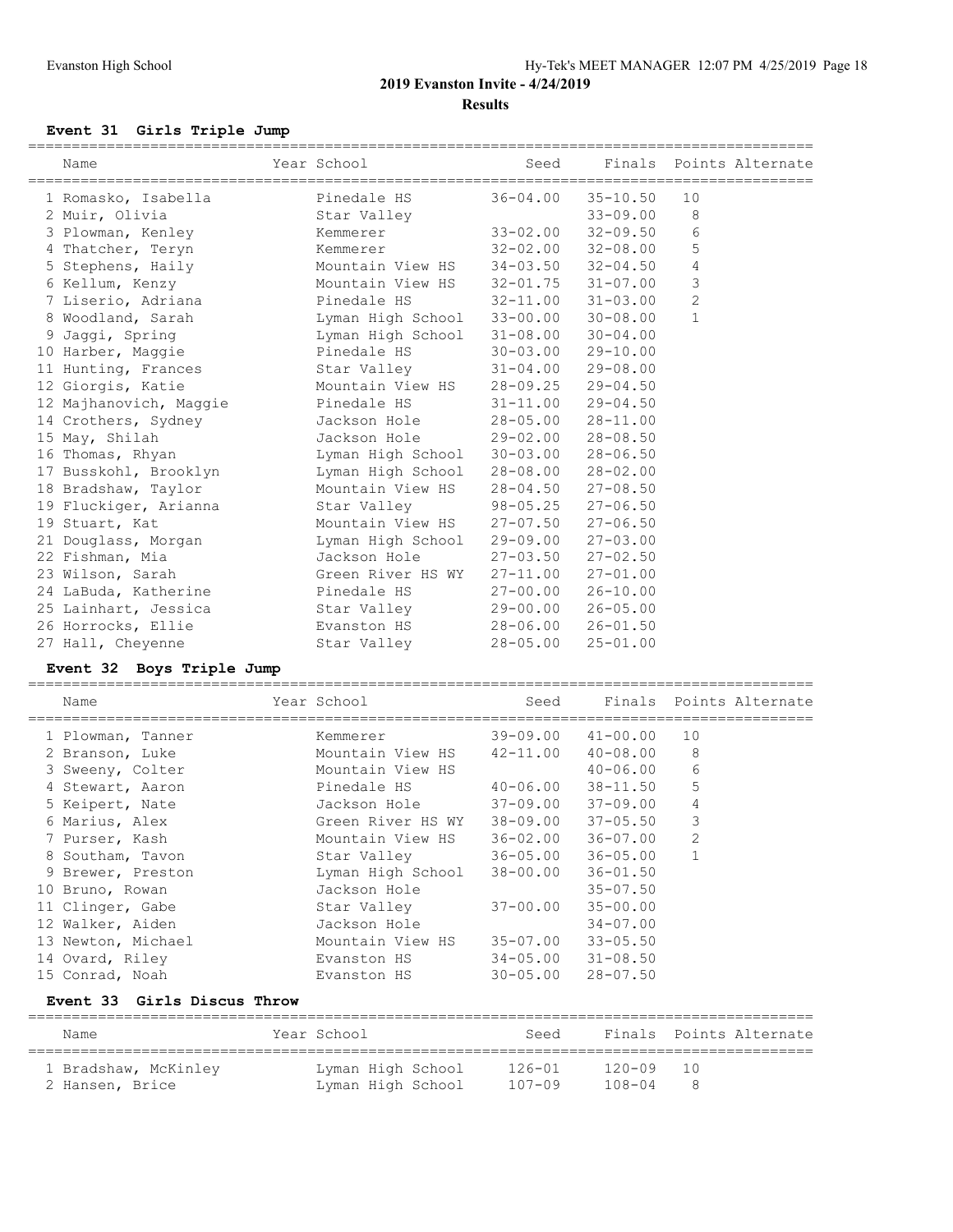# **Event 31 Girls Triple Jump**

| Name                                                     | Year School Theory |                           | Seed Finals Points Alternate |                |  |
|----------------------------------------------------------|--------------------|---------------------------|------------------------------|----------------|--|
| 1 Romasko, Isabella               Pinedale HS            |                    |                           | $36 - 04.00$ $35 - 10.50$    | 10             |  |
| 2 Muir, Olivia Star Valley                               |                    |                           | $33 - 09.00$                 | 8              |  |
| 3 Plowman, Kenley Kemmerer                               |                    | $33 - 02.00$ $32 - 09.50$ |                              | $\sqrt{6}$     |  |
| 4 Thatcher, Teryn                                        | Kemmerer           | $32 - 02.00$ $32 - 08.00$ |                              | 5              |  |
| 5 Stephens, Haily Mountain View HS                       |                    | $34 - 03.50$ $32 - 04.50$ |                              | $\overline{4}$ |  |
| 6 Kellum, Kenzy Mountain View HS 32-01.75 31-07.00       |                    |                           |                              | $\mathsf 3$    |  |
| 7 Liserio, Adriana and Pinedale HS                       |                    | $32 - 11.00$ $31 - 03.00$ |                              | $\overline{c}$ |  |
| 8 Woodland, Sarah Martingh High School 33-00.00 30-08.00 |                    |                           |                              | $\mathbf{1}$   |  |
| 9 Jaqqi, Spring                                          | Lyman High School  | $31 - 08.00$ $30 - 04.00$ |                              |                |  |
| 10 Harber, Maggie                                        | Pinedale HS        | $30 - 03.00$ 29-10.00     |                              |                |  |
| 11 Hunting, Frances Star Valley                          |                    | $31 - 04.00$ 29-08.00     |                              |                |  |
| 12 Giorgis, Katie                                        | Mountain View HS   | $28 - 09.25$ 29-04.50     |                              |                |  |
| 12 Majhanovich, Maqqie           Pinedale HS             |                    | $31 - 11.00$ 29-04.50     |                              |                |  |
| 14 Crothers, Sydney Jackson Hole                         |                    | 28-05.00 28-11.00         |                              |                |  |
| 15 May, Shilah                                           |                    |                           |                              |                |  |
| 16 Thomas, Rhyan                                         | Lyman High School  | $30 - 03.00$ 28-06.50     |                              |                |  |
| 17 Busskohl, Brooklyn Man High School                    |                    | $28 - 08.00$ $28 - 02.00$ |                              |                |  |
| 18 Bradshaw, Taylor Mountain View HS                     |                    | $28 - 04.50$ $27 - 08.50$ |                              |                |  |
| 19 Fluckiger, Arianna               Star Valley          |                    | $98 - 05.25$ 27-06.50     |                              |                |  |
| 19 Stuart, Kat                                           | Mountain View HS   | $27 - 07.50$ $27 - 06.50$ |                              |                |  |
| 21 Douglass, Morgan Man Lyman High School                |                    | $29 - 09.00$ $27 - 03.00$ |                              |                |  |
| 22 Fishman, Mia                                          | Jackson Hole       | $27 - 03.50$ $27 - 02.50$ |                              |                |  |
| 23 Wilson, Sarah Creen River HS WY                       |                    | 27-11.00 27-01.00         |                              |                |  |
| 24 LaBuda, Katherine                                     | Pinedale HS        | $27 - 00.00$ $26 - 10.00$ |                              |                |  |
| 25 Lainhart, Jessica                                     | Star Valley        | 29-00.00 26-05.00         |                              |                |  |
| 26 Horrocks, Ellie                                       | Evanston HS        | 28-06.00 26-01.50         |                              |                |  |
| 27 Hall, Chevenne                                        | Star Valley        | 28-05.00                  | $25 - 01.00$                 |                |  |
|                                                          |                    |                           |                              |                |  |

# **Event 32 Boys Triple Jump**

| Name               | Year School       |                           | Seed Finals Points Alternate |                |  |
|--------------------|-------------------|---------------------------|------------------------------|----------------|--|
| 1 Plowman, Tanner  | Kemmerer          |                           | $39-09.00$ $41-00.00$        | 10             |  |
| 2 Branson, Luke    | Mountain View HS  | 42-11.00 40-08.00         |                              | 8              |  |
| 3 Sweeny, Colter   | Mountain View HS  |                           | $40 - 06.00$                 | 6              |  |
| 4 Stewart, Aaron   | Pinedale HS       |                           | 40-06.00 38-11.50            | 5              |  |
| 5 Keipert, Nate    | Jackson Hole      |                           | 37-09.00 37-09.00            | 4              |  |
| 6 Marius, Alex     | Green River HS WY |                           | 38-09.00 37-05.50            | 3              |  |
| 7 Purser, Kash     | Mountain View HS  |                           | 36-02.00 36-07.00            | $\overline{c}$ |  |
| 8 Southam, Tavon   | Star Valley       |                           | 36-05.00 36-05.00            | $\mathbf{1}$   |  |
| 9 Brewer, Preston  | Lyman High School | 38-00.00 36-01.50         |                              |                |  |
| 10 Bruno, Rowan    | Jackson Hole      |                           | $35 - 07.50$                 |                |  |
| 11 Clinger, Gabe   | Star Valley       | 37-00.00                  | $35 - 00.00$                 |                |  |
| 12 Walker, Aiden   | Jackson Hole      |                           | $34 - 07.00$                 |                |  |
| 13 Newton, Michael | Mountain View HS  | $35 - 07.00$ $33 - 05.50$ |                              |                |  |
| 14 Ovard, Riley    | Evanston HS       | $34 - 05.00$ $31 - 08.50$ |                              |                |  |
| 15 Conrad, Noah    | Evanston HS       | $30 - 05.00$ $28 - 07.50$ |                              |                |  |
|                    |                   |                           |                              |                |  |

# **Event 33 Girls Discus Throw**

| Name                 | Year School       | Seed       |            | Finals Points Alternate |
|----------------------|-------------------|------------|------------|-------------------------|
| 1 Bradshaw, McKinley | Lyman High School | $126 - 01$ | $120 - 09$ | $\overline{10}$         |
| 2 Hansen, Brice      | Lyman High School | $107 - 09$ | $108 - 04$ | -8                      |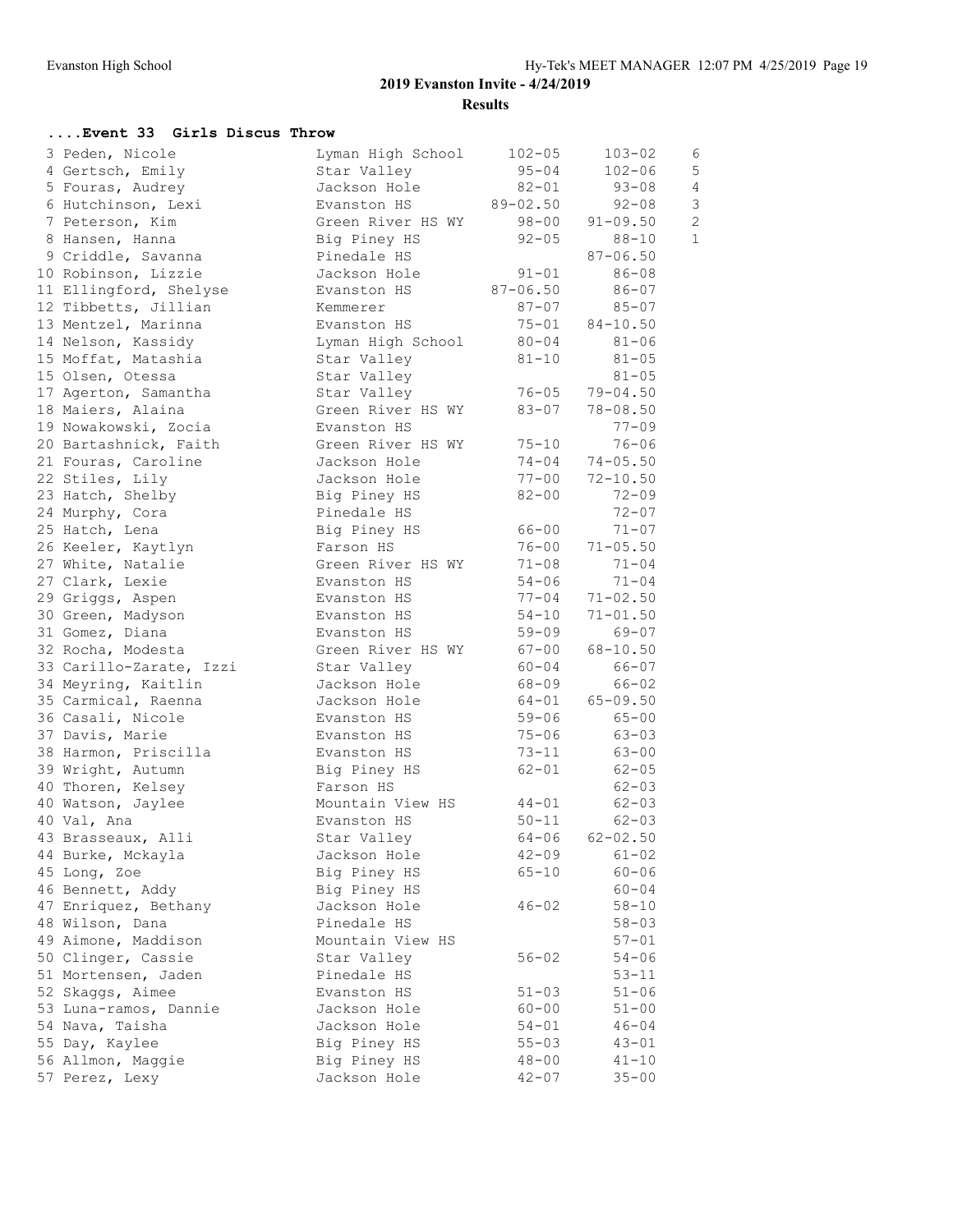| Event 33 Girls Discus Throw               |                            |              |                        |                |
|-------------------------------------------|----------------------------|--------------|------------------------|----------------|
| 3 Peden, Nicole                           | Lyman High School          | $102 - 05$   | $103 - 02$             | 6              |
| 4 Gertsch, Emily                          | Star Valley                | $95 - 04$    | $102 - 06$             | 5              |
| 5 Fouras, Audrey                          | Jackson Hole               | $82 - 01$    | $93 - 08$              | 4              |
| 6 Hutchinson, Lexi                        | Evanston HS                | $89 - 02.50$ | $92 - 08$              | 3              |
| 7 Peterson, Kim                           | Green River HS WY          | $98 - 00$    | $91 - 09.50$           | $\overline{c}$ |
| 8 Hansen, Hanna                           | Big Piney HS               | $92 - 05$    | $88 - 10$              | $\mathbf{1}$   |
| 9 Criddle, Savanna                        | Pinedale HS                |              | $87 - 06.50$           |                |
| 10 Robinson, Lizzie                       | Jackson Hole               | $91 - 01$    | $86 - 08$              |                |
| 11 Ellingford, Shelyse                    | Evanston HS                | $87 - 06.50$ | $86 - 07$              |                |
| 12 Tibbetts, Jillian                      | Kemmerer                   | $87 - 07$    | $85 - 07$              |                |
| 13 Mentzel, Marinna                       | Evanston HS                | $75 - 01$    | $84 - 10.50$           |                |
| 14 Nelson, Kassidy                        | Lyman High School          | $80 - 04$    | $81 - 06$              |                |
| 15 Moffat, Matashia                       | Star Valley                | $81 - 10$    | $81 - 05$              |                |
| 15 Olsen, Otessa                          | Star Valley                |              | $81 - 05$              |                |
| 17 Agerton, Samantha                      | Star Valley                | 76-05        | $79 - 04.50$           |                |
| 18 Maiers, Alaina                         | Green River HS WY          | $83 - 07$    | $78 - 08.50$           |                |
| 19 Nowakowski, Zocia                      | Evanston HS                |              | $77 - 09$              |                |
| 20 Bartashnick, Faith                     | Green River HS WY          | $75 - 10$    | $76 - 06$              |                |
| 21 Fouras, Caroline                       | Jackson Hole               | $74 - 04$    | $74 - 05.50$           |                |
| 22 Stiles, Lily                           | Jackson Hole               | $77 - 00$    | $72 - 10.50$           |                |
| 23 Hatch, Shelby                          | Big Piney HS               | $82 - 00$    | $72 - 09$              |                |
| 24 Murphy, Cora                           | Pinedale HS                |              | $72 - 07$              |                |
| 25 Hatch, Lena                            | Big Piney HS               | 66-00        | $71 - 07$              |                |
| 26 Keeler, Kaytlyn                        | Farson HS                  | 76-00        | $71 - 05.50$           |                |
| 27 White, Natalie                         | Green River HS WY          | $71 - 08$    | $71 - 04$              |                |
| 27 Clark, Lexie                           | Evanston HS                | $54 - 06$    | $71 - 04$              |                |
| 29 Griggs, Aspen                          | Evanston HS                | $77 - 04$    | $71 - 02.50$           |                |
| 30 Green, Madyson                         | Evanston HS                | $54 - 10$    | $71 - 01.50$           |                |
| 31 Gomez, Diana                           | Evanston HS                | $59 - 09$    | $69 - 07$              |                |
| 32 Rocha, Modesta                         | Green River HS WY          | $67 - 00$    | $68 - 10.50$           |                |
| 33 Carillo-Zarate, Izzi                   | Star Valley                | $60 - 04$    | 66-07                  |                |
| 34 Meyring, Kaitlin                       | Jackson Hole               | 68-09        | $66 - 02$              |                |
| 35 Carmical, Raenna                       | Jackson Hole               | $64 - 01$    | $65 - 09.50$           |                |
| 36 Casali, Nicole                         | Evanston HS                | $59 - 06$    | $65 - 00$              |                |
| 37 Davis, Marie                           | Evanston HS                | $75 - 06$    | $63 - 03$              |                |
| 38 Harmon, Priscilla                      | Evanston HS                | $73 - 11$    | $63 - 00$              |                |
| 39 Wright, Autumn                         | Big Piney HS               | $62 - 01$    | $62 - 05$              |                |
| 40 Thoren, Kelsey                         | Farson HS                  |              | $62 - 03$              |                |
| 40 Watson, Jaylee                         | Mountain View HS           | $44 - 01$    | $62 - 03$              |                |
| 40 Val, Ana                               | Evanston HS                | $50 - 11$    | $62 - 03$              |                |
| 43 Brasseaux, Alli                        | Star Valley                | 64-06        | $62 - 02.50$           |                |
| 44 Burke, Mckayla                         | Jackson Hole               | $42 - 09$    | $61 - 02$              |                |
| 45 Long, Zoe                              | Big Piney HS               | $65 - 10$    | $60 - 06$              |                |
| 46 Bennett, Addy                          | Big Piney HS               |              | $60 - 04$              |                |
| 47 Enriquez, Bethany                      | Jackson Hole               | $46 - 02$    | $58 - 10$              |                |
| 48 Wilson, Dana                           | Pinedale HS                |              | $58 - 03$              |                |
| 49 Aimone, Maddison                       | Mountain View HS           |              | $57 - 01$<br>$54 - 06$ |                |
| 50 Clinger, Cassie<br>51 Mortensen, Jaden | Star Valley<br>Pinedale HS | $56 - 02$    | $53 - 11$              |                |
|                                           | Evanston HS                | $51 - 03$    | $51 - 06$              |                |
| 52 Skaggs, Aimee<br>53 Luna-ramos, Dannie | Jackson Hole               | $60 - 00$    | $51 - 00$              |                |
|                                           | Jackson Hole               | $54 - 01$    | $46 - 04$              |                |
| 54 Nava, Taisha<br>55 Day, Kaylee         | Big Piney HS               | $55 - 03$    | $43 - 01$              |                |
| 56 Allmon, Maggie                         | Big Piney HS               | $48 - 00$    | $41 - 10$              |                |
| 57 Perez, Lexy                            | Jackson Hole               | $42 - 07$    | $35 - 00$              |                |
|                                           |                            |              |                        |                |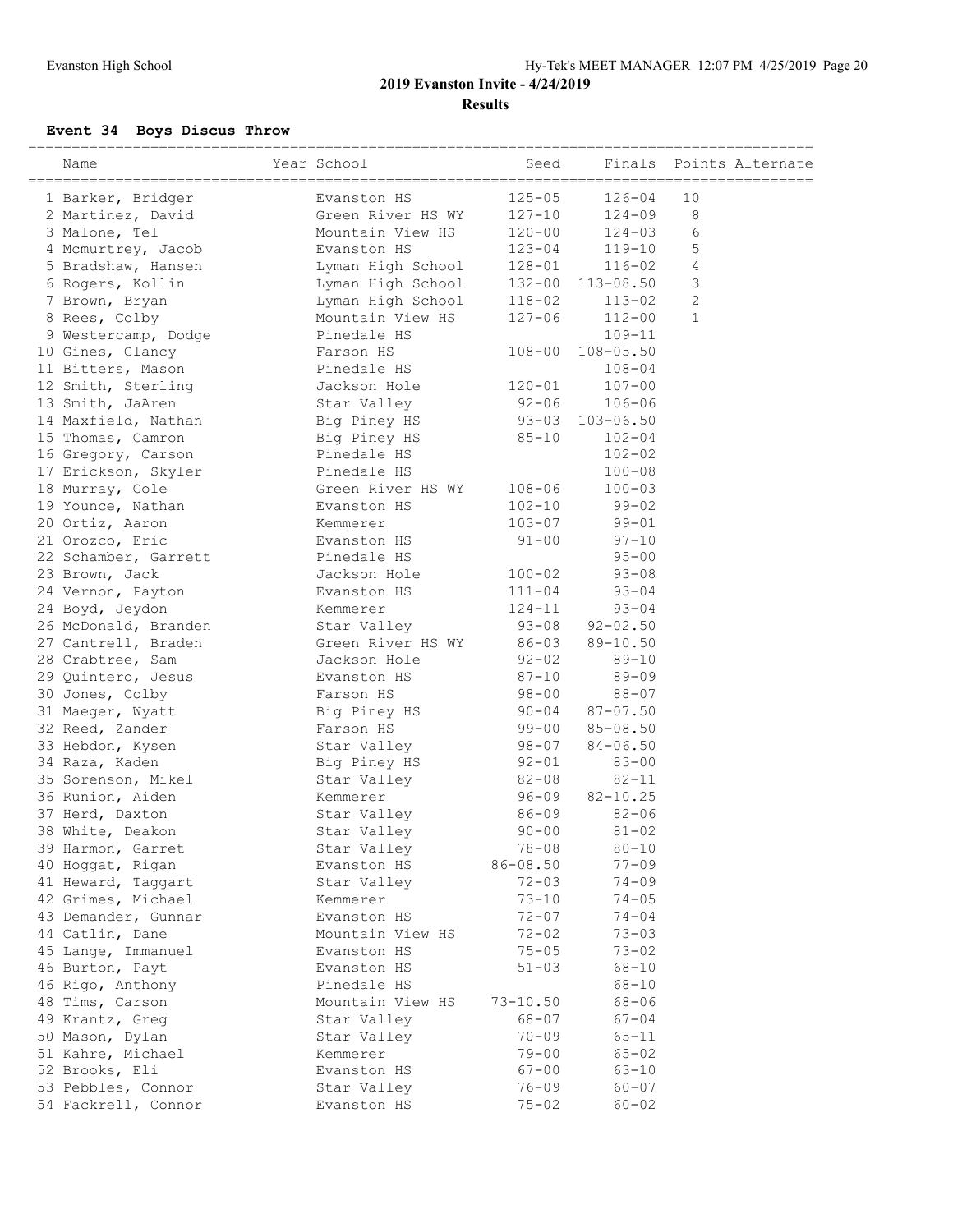**Event 34 Boys Discus Throw**

|                      |                   | ================ |                        |                | =============    |
|----------------------|-------------------|------------------|------------------------|----------------|------------------|
| Name                 | Year School       | Seed             | Finals                 |                | Points Alternate |
| 1 Barker, Bridger    | Evanston HS       | $125 - 05$       | $126 - 04$             | 10             |                  |
| 2 Martinez, David    | Green River HS WY | $127 - 10$       | $124 - 09$             | 8              |                  |
| 3 Malone, Tel        | Mountain View HS  | $120 - 00$       | $124 - 03$             | 6              |                  |
| 4 Mcmurtrey, Jacob   | Evanston HS       | $123 - 04$       | 119-10                 | 5              |                  |
| 5 Bradshaw, Hansen   | Lyman High School | $128 - 01$       | $116 - 02$             | $\overline{4}$ |                  |
| 6 Rogers, Kollin     | Lyman High School | $132 - 00$       | 113-08.50              | 3              |                  |
| 7 Brown, Bryan       | Lyman High School | $118 - 02$       | $113 - 02$             | $\mathbf{2}$   |                  |
| 8 Rees, Colby        | Mountain View HS  | $127 - 06$       | $112 - 00$             | $\mathbf{1}$   |                  |
| 9 Westercamp, Dodge  | Pinedale HS       |                  | $109 - 11$             |                |                  |
| 10 Gines, Clancy     | Farson HS         | $108 - 00$       | $108 - 05.50$          |                |                  |
| 11 Bitters, Mason    | Pinedale HS       |                  | $108 - 04$             |                |                  |
| 12 Smith, Sterling   | Jackson Hole      | $120 - 01$       | $107 - 00$             |                |                  |
| 13 Smith, JaAren     | Star Valley       | $92 - 06$        | $106 - 06$             |                |                  |
| 14 Maxfield, Nathan  | Big Piney HS      |                  | 93-03 103-06.50        |                |                  |
| 15 Thomas, Camron    | Big Piney HS      | $85 - 10$        | $102 - 04$             |                |                  |
| 16 Gregory, Carson   | Pinedale HS       |                  | $102 - 02$             |                |                  |
| 17 Erickson, Skyler  | Pinedale HS       |                  | $100 - 08$             |                |                  |
| 18 Murray, Cole      | Green River HS WY | $108 - 06$       | $100 - 03$             |                |                  |
| 19 Younce, Nathan    | Evanston HS       | $102 - 10$       | $99 - 02$              |                |                  |
| 20 Ortiz, Aaron      | Kemmerer          | $103 - 07$       | $99 - 01$              |                |                  |
| 21 Orozco, Eric      | Evanston HS       | $91 - 00$        | $97 - 10$              |                |                  |
| 22 Schamber, Garrett | Pinedale HS       |                  | $95 - 00$              |                |                  |
| 23 Brown, Jack       | Jackson Hole      | $100 - 02$       | $93 - 08$              |                |                  |
| 24 Vernon, Payton    | Evanston HS       | $111 - 04$       | $93 - 04$              |                |                  |
| 24 Boyd, Jeydon      | Kemmerer          | $124 - 11$       | $93 - 04$              |                |                  |
| 26 McDonald, Branden | Star Valley       |                  | $93 - 08$ $92 - 02.50$ |                |                  |
| 27 Cantrell, Braden  | Green River HS WY |                  | 86-03 89-10.50         |                |                  |
| 28 Crabtree, Sam     | Jackson Hole      | $92 - 02$        | $89 - 10$              |                |                  |
| 29 Quintero, Jesus   | Evanston HS       | $87 - 10$        | $89 - 09$              |                |                  |
| 30 Jones, Colby      | Farson HS         | $98 - 00$        | $88 - 07$              |                |                  |
| 31 Maeger, Wyatt     | Big Piney HS      | $90 - 04$        | $87 - 07.50$           |                |                  |
| 32 Reed, Zander      | Farson HS         | $99 - 00$        | $85 - 08.50$           |                |                  |
| 33 Hebdon, Kysen     | Star Valley       | 98-07            | $84 - 06.50$           |                |                  |
| 34 Raza, Kaden       | Big Piney HS      | $92 - 01$        | $83 - 00$              |                |                  |
| 35 Sorenson, Mikel   | Star Valley       | $82 - 08$        | $82 - 11$              |                |                  |
| 36 Runion, Aiden     | Kemmerer          | 96-09            | $82 - 10.25$           |                |                  |
| 37 Herd, Daxton      | Star Valley       | $86 - 09$        | $82 - 06$              |                |                  |
| 38 White, Deakon     | Star Valley       | $90 - 00$        | $81 - 02$              |                |                  |
| 39 Harmon, Garret    | Star Valley       | $78 - 08$        | $80 - 10$              |                |                  |
| 40 Hoggat, Rigan     | Evanston HS       | $86 - 08.50$     | $77 - 09$              |                |                  |
| 41 Heward, Taggart   | Star Valley       | $72 - 03$        | $74 - 09$              |                |                  |
| 42 Grimes, Michael   | Kemmerer          | $73 - 10$        | 74-05                  |                |                  |
| 43 Demander, Gunnar  | Evanston HS       | $72 - 07$        | $74 - 04$              |                |                  |
| 44 Catlin, Dane      | Mountain View HS  | $72 - 02$        | $73 - 03$              |                |                  |
| 45 Lange, Immanuel   | Evanston HS       | $75 - 05$        | $73 - 02$              |                |                  |
| 46 Burton, Payt      | Evanston HS       | $51 - 03$        | $68 - 10$              |                |                  |
| 46 Rigo, Anthony     | Pinedale HS       |                  | 68-10                  |                |                  |
| 48 Tims, Carson      | Mountain View HS  | $73 - 10.50$     | 68-06                  |                |                  |
| 49 Krantz, Greq      | Star Valley       | $68 - 07$        | $67 - 04$              |                |                  |
| 50 Mason, Dylan      | Star Valley       | $70 - 09$        | 65-11                  |                |                  |
| 51 Kahre, Michael    | Kemmerer          | $79 - 00$        | $65 - 02$              |                |                  |
| 52 Brooks, Eli       | Evanston HS       | $67 - 00$        | $63 - 10$              |                |                  |
| 53 Pebbles, Connor   | Star Valley       | $76 - 09$        | 60-07                  |                |                  |
| 54 Fackrell, Connor  | Evanston HS       | $75 - 02$        | $60 - 02$              |                |                  |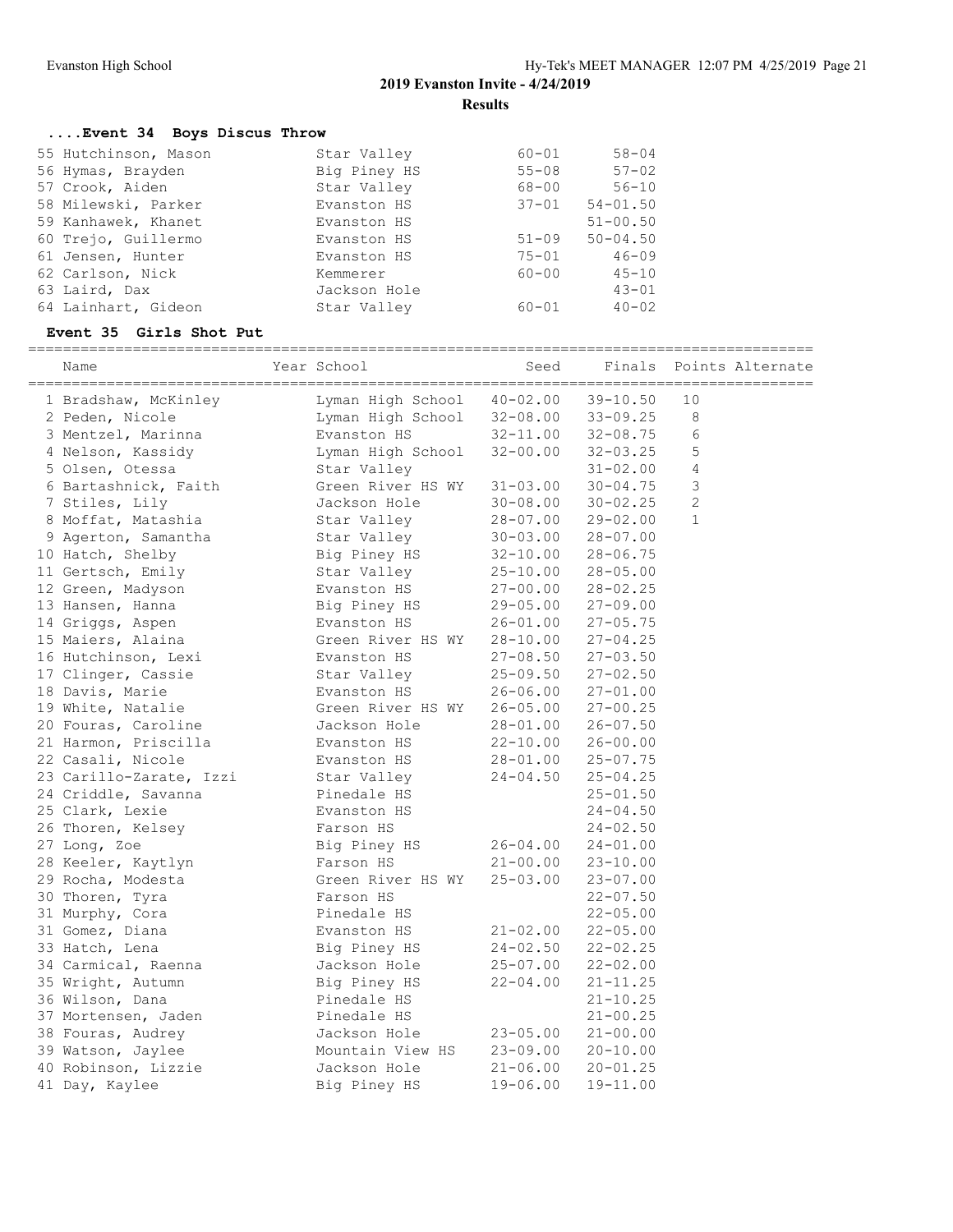### **....Event 34 Boys Discus Throw**

| 55 Hutchinson, Mason | Star Valley  | $60 - 01$ | $58 - 04$    |  |
|----------------------|--------------|-----------|--------------|--|
| 56 Hymas, Brayden    | Big Piney HS | $55 - 08$ | $57 - 02$    |  |
| 57 Crook, Aiden      | Star Valley  | 68-00     | $56 - 10$    |  |
| 58 Milewski, Parker  | Evanston HS  | $37 - 01$ | $54 - 01.50$ |  |
| 59 Kanhawek, Khanet  | Evanston HS  |           | $51 - 00.50$ |  |
| 60 Trejo, Guillermo  | Evanston HS  | $51 - 09$ | $50 - 04.50$ |  |
| 61 Jensen, Hunter    | Evanston HS  | $75 - 01$ | $46 - 09$    |  |
| 62 Carlson, Nick     | Kemmerer     | $60 - 00$ | $45 - 10$    |  |
| 63 Laird, Dax        | Jackson Hole |           | $43 - 01$    |  |
| 64 Lainhart, Gideon  | Star Valley  | $60 - 01$ | $40 - 02$    |  |

### **Event 35 Girls Shot Put**

| Name                    | Year School       | Seed         |                           |                | Finals Points Alternate |
|-------------------------|-------------------|--------------|---------------------------|----------------|-------------------------|
| 1 Bradshaw, McKinley    | Lyman High School | $40 - 02.00$ | $39 - 10.50$              | 10             |                         |
| 2 Peden, Nicole         | Lyman High School | $32 - 08.00$ | $33 - 09.25$              | 8              |                         |
| 3 Mentzel, Marinna      | Evanston HS       | $32 - 11.00$ | $32 - 08.75$              | 6              |                         |
| 4 Nelson, Kassidy       | Lyman High School | $32 - 00.00$ | $32 - 03.25$              | 5              |                         |
| 5 Olsen, Otessa         | Star Valley       |              | $31 - 02.00$              | $\overline{4}$ |                         |
| 6 Bartashnick, Faith    | Green River HS WY |              | $31 - 03.00$ $30 - 04.75$ | 3              |                         |
| 7 Stiles, Lily          | Jackson Hole      | $30 - 08.00$ | $30 - 02.25$              | 2              |                         |
| 8 Moffat, Matashia      | Star Valley       | $28 - 07.00$ | $29 - 02.00$              | $\mathbf{1}$   |                         |
| 9 Agerton, Samantha     | Star Valley       | $30 - 03.00$ | $28 - 07.00$              |                |                         |
| 10 Hatch, Shelby        | Big Piney HS      | $32 - 10.00$ | $28 - 06.75$              |                |                         |
| 11 Gertsch, Emily       | Star Valley       | 25-10.00     | $28 - 05.00$              |                |                         |
| 12 Green, Madyson       | Evanston HS       |              | 27-00.00 28-02.25         |                |                         |
| 13 Hansen, Hanna        | Big Piney HS      | 29-05.00     | $27 - 09.00$              |                |                         |
| 14 Griggs, Aspen        | Evanston HS       | $26 - 01.00$ | $27 - 05.75$              |                |                         |
| 15 Maiers, Alaina       | Green River HS WY | $28 - 10.00$ | $27 - 04.25$              |                |                         |
| 16 Hutchinson, Lexi     | Evanston HS       | $27 - 08.50$ | $27 - 03.50$              |                |                         |
| 17 Clinger, Cassie      | Star Valley       | 25-09.50     | $27 - 02.50$              |                |                         |
| 18 Davis, Marie         | Evanston HS       | 26-06.00     | $27 - 01.00$              |                |                         |
| 19 White, Natalie       | Green River HS WY |              | 26-05.00 27-00.25         |                |                         |
| 20 Fouras, Caroline     | Jackson Hole      | $28 - 01.00$ | $26 - 07.50$              |                |                         |
| 21 Harmon, Priscilla    | Evanston HS       | $22 - 10.00$ | $26 - 00.00$              |                |                         |
| 22 Casali, Nicole       | Evanston HS       | $28 - 01.00$ | $25 - 07.75$              |                |                         |
| 23 Carillo-Zarate, Izzi | Star Valley       | $24 - 04.50$ | $25 - 04.25$              |                |                         |
| 24 Criddle, Savanna     | Pinedale HS       |              | $25 - 01.50$              |                |                         |
| 25 Clark, Lexie         | Evanston HS       |              | $24 - 04.50$              |                |                         |
| 26 Thoren, Kelsey       | Farson HS         |              | $24 - 02.50$              |                |                         |
| 27 Long, Zoe            | Big Piney HS      | $26 - 04.00$ | $24 - 01.00$              |                |                         |
| 28 Keeler, Kaytlyn      | Farson HS         | $21 - 00.00$ | $23 - 10.00$              |                |                         |
| 29 Rocha, Modesta       | Green River HS WY | $25 - 03.00$ | $23 - 07.00$              |                |                         |
| 30 Thoren, Tyra         | Farson HS         |              | $22 - 07.50$              |                |                         |
| 31 Murphy, Cora         | Pinedale HS       |              | $22 - 05.00$              |                |                         |
| 31 Gomez, Diana         | Evanston HS       | $21 - 02.00$ | $22 - 05.00$              |                |                         |
| 33 Hatch, Lena          | Big Piney HS      | $24 - 02.50$ | $22 - 02.25$              |                |                         |
| 34 Carmical, Raenna     | Jackson Hole      | $25 - 07.00$ | $22 - 02.00$              |                |                         |
| 35 Wright, Autumn       | Big Piney HS      | $22 - 04.00$ | $21 - 11.25$              |                |                         |
| 36 Wilson, Dana         | Pinedale HS       |              | $21 - 10.25$              |                |                         |
| 37 Mortensen, Jaden     | Pinedale HS       |              | $21 - 00.25$              |                |                         |
| 38 Fouras, Audrey       | Jackson Hole      | $23 - 05.00$ | $21 - 00.00$              |                |                         |
| 39 Watson, Jaylee       | Mountain View HS  | $23 - 09.00$ | $20 - 10.00$              |                |                         |
| 40 Robinson, Lizzie     | Jackson Hole      | $21 - 06.00$ | $20 - 01.25$              |                |                         |
| 41 Day, Kaylee          | Big Piney HS      | $19 - 06.00$ | $19 - 11.00$              |                |                         |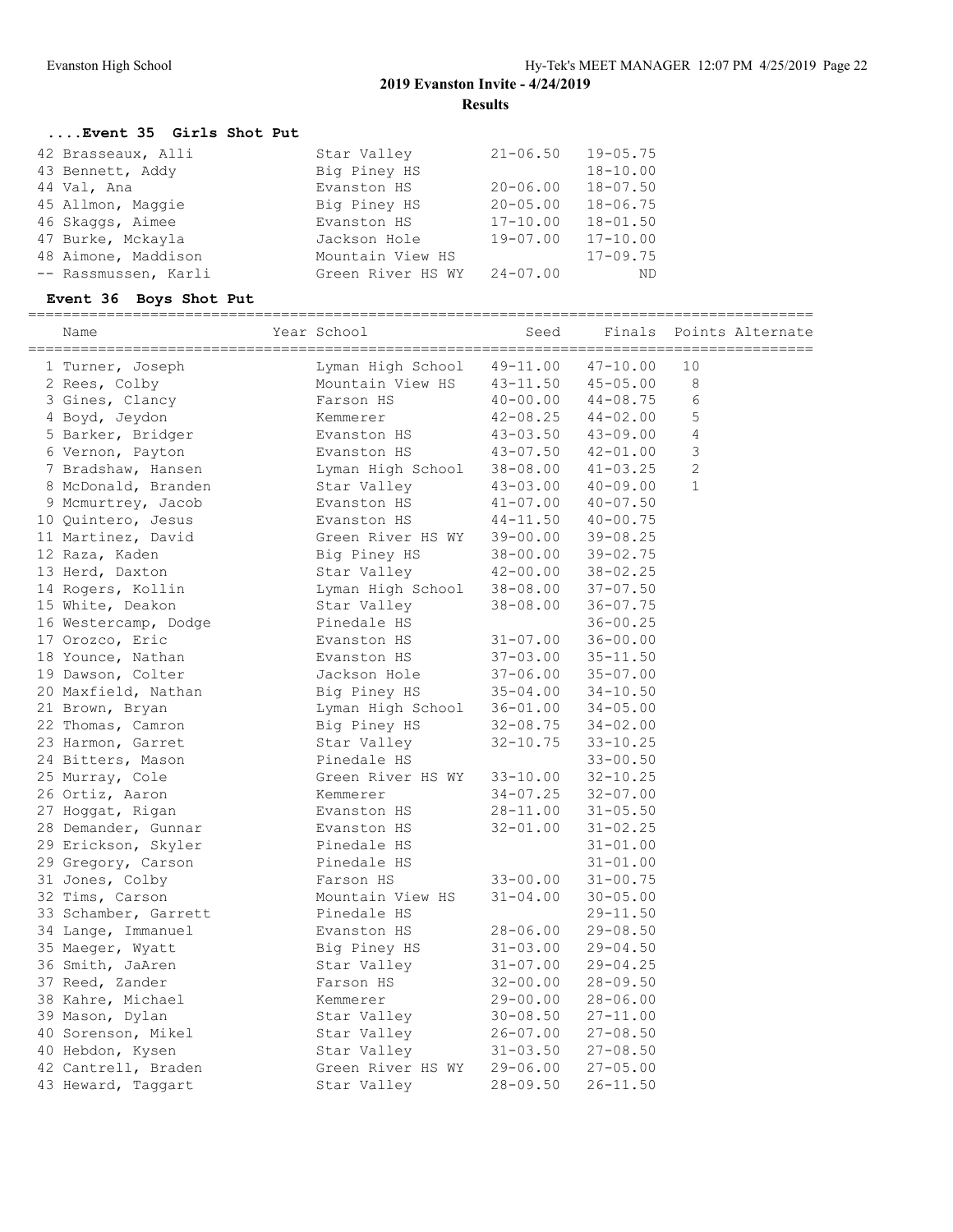### **....Event 35 Girls Shot Put**

| 42 Brasseaux, Alli   | Star Valley       | $21 - 06.50$ | $19 - 05.75$ |
|----------------------|-------------------|--------------|--------------|
| 43 Bennett, Addy     | Big Piney HS      |              | $18 - 10.00$ |
| 44 Val, Ana          | Evanston HS       | $20 - 06.00$ | $18 - 07.50$ |
| 45 Allmon, Maggie    | Big Piney HS      | $20 - 05.00$ | $18 - 06.75$ |
| 46 Skaggs, Aimee     | Evanston HS       | $17 - 10.00$ | $18 - 01.50$ |
| 47 Burke, Mckayla    | Jackson Hole      | $19 - 07.00$ | $17 - 10.00$ |
| 48 Aimone, Maddison  | Mountain View HS  |              | $17 - 09.75$ |
| -- Rassmussen, Karli | Green River HS WY | $24 - 07.00$ | ND.          |

### **Event 36 Boys Shot Put**

| Name<br>====================== | Year School<br>-------------------------------- | Seed<br>----------------------- | Finals       | Points Alternate<br>=========== |
|--------------------------------|-------------------------------------------------|---------------------------------|--------------|---------------------------------|
| 1 Turner, Joseph               | Lyman High School                               | 49-11.00                        | $47 - 10.00$ | 10                              |
| 2 Rees, Colby                  | Mountain View HS                                | $43 - 11.50$                    | $45 - 05.00$ | 8                               |
| 3 Gines, Clancy                | Farson HS                                       | $40 - 00.00$                    | $44 - 08.75$ | 6                               |
| 4 Boyd, Jeydon                 | Kemmerer                                        | $42 - 08.25$                    | $44 - 02.00$ | 5                               |
| 5 Barker, Bridger              | Evanston HS                                     | $43 - 03.50$                    | $43 - 09.00$ | 4                               |
| 6 Vernon, Payton               | Evanston HS                                     | $43 - 07.50$                    | $42 - 01.00$ | 3                               |
| 7 Bradshaw, Hansen             | Lyman High School                               | $38 - 08.00$                    | $41 - 03.25$ | $\mathbf{2}$                    |
| 8 McDonald, Branden            | Star Valley                                     | $43 - 03.00$                    | $40 - 09.00$ | $\mathbf{1}$                    |
| 9 Mcmurtrey, Jacob             | Evanston HS                                     | $41 - 07.00$                    | $40 - 07.50$ |                                 |
| 10 Quintero, Jesus             | Evanston HS                                     | $44 - 11.50$                    | $40 - 00.75$ |                                 |
| 11 Martinez, David             | Green River HS WY                               | $39 - 00.00$                    | $39 - 08.25$ |                                 |
| 12 Raza, Kaden                 | Big Piney HS                                    | 38-00.00                        | $39 - 02.75$ |                                 |
| 13 Herd, Daxton                | Star Valley                                     | $42 - 00.00$                    | $38 - 02.25$ |                                 |
| 14 Rogers, Kollin              | Lyman High School                               | $38 - 08.00$                    | $37 - 07.50$ |                                 |
| 15 White, Deakon               | Star Valley                                     | 38-08.00                        | $36 - 07.75$ |                                 |
| 16 Westercamp, Dodge           | Pinedale HS                                     |                                 | $36 - 00.25$ |                                 |
| 17 Orozco, Eric                | Evanston HS                                     | $31 - 07.00$                    | $36 - 00.00$ |                                 |
| 18 Younce, Nathan              | Evanston HS                                     | $37 - 03.00$                    | $35 - 11.50$ |                                 |
| 19 Dawson, Colter              | Jackson Hole                                    | $37 - 06.00$                    | $35 - 07.00$ |                                 |
| 20 Maxfield, Nathan            | Big Piney HS                                    | $35 - 04.00$                    | $34 - 10.50$ |                                 |
| 21 Brown, Bryan                | Lyman High School                               | 36-01.00                        | $34 - 05.00$ |                                 |
| 22 Thomas, Camron              | Big Piney HS                                    | $32 - 08.75$                    | $34 - 02.00$ |                                 |
| 23 Harmon, Garret              | Star Valley                                     | $32 - 10.75$                    | $33 - 10.25$ |                                 |
| 24 Bitters, Mason              | Pinedale HS                                     |                                 | $33 - 00.50$ |                                 |
| 25 Murray, Cole                | Green River HS WY                               | $33 - 10.00$                    | $32 - 10.25$ |                                 |
| 26 Ortiz, Aaron                | Kemmerer                                        | $34 - 07.25$                    | $32 - 07.00$ |                                 |
| 27 Hoggat, Rigan               | Evanston HS                                     | 28-11.00                        | $31 - 05.50$ |                                 |
| 28 Demander, Gunnar            | Evanston HS                                     | $32 - 01.00$                    | $31 - 02.25$ |                                 |
| 29 Erickson, Skyler            | Pinedale HS                                     |                                 | $31 - 01.00$ |                                 |
| 29 Gregory, Carson             | Pinedale HS                                     |                                 | $31 - 01.00$ |                                 |
| 31 Jones, Colby                | Farson HS                                       | $33 - 00.00$                    | $31 - 00.75$ |                                 |
| 32 Tims, Carson                | Mountain View HS                                | $31 - 04.00$                    | $30 - 05.00$ |                                 |
| 33 Schamber, Garrett           | Pinedale HS                                     |                                 | $29 - 11.50$ |                                 |
| 34 Lange, Immanuel             | Evanston HS                                     | $28 - 06.00$                    | $29 - 08.50$ |                                 |
| 35 Maeger, Wyatt               | Big Piney HS                                    | $31 - 03.00$                    | $29 - 04.50$ |                                 |
| 36 Smith, JaAren               | Star Valley                                     | $31 - 07.00$                    | $29 - 04.25$ |                                 |
| 37 Reed, Zander                | Farson HS                                       | $32 - 00.00$                    | $28 - 09.50$ |                                 |
| 38 Kahre, Michael              | Kemmerer                                        | 29-00.00                        | $28 - 06.00$ |                                 |
| 39 Mason, Dylan                | Star Valley                                     | $30 - 08.50$                    | $27 - 11.00$ |                                 |
| 40 Sorenson, Mikel             | Star Valley                                     | $26 - 07.00$                    | $27 - 08.50$ |                                 |
| 40 Hebdon, Kysen               | Star Valley                                     | $31 - 03.50$                    | $27 - 08.50$ |                                 |
| 42 Cantrell, Braden            | Green River HS WY                               | 29-06.00                        | $27 - 05.00$ |                                 |
| 43 Heward, Taggart             | Star Valley                                     | $28 - 09.50$                    | $26 - 11.50$ |                                 |
|                                |                                                 |                                 |              |                                 |